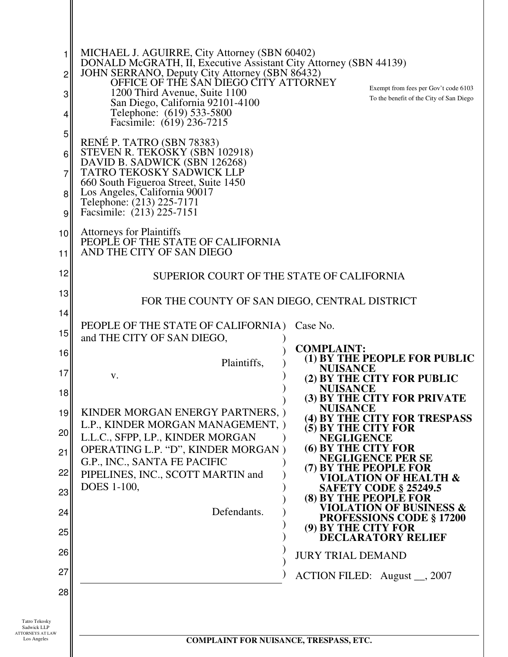| 1<br>$\overline{c}$<br>3<br>4                                               | MICHAEL J. AGUIRRE, City Attorney (SBN 60402)<br>DONALD McGRATH, II, Executive Assistant City Attorney (SBN 44139)<br>JOHN SERRANO, Deputy City Attorney (SBN 86432)<br>OFFICE OF THE SAN DIEGO CITY ATTORNEY<br>1200 Third Avenue, Suite 1100<br>San Diego, California 92101-4100<br>Telephone: (619) 533-5800<br>Facsimile: (619) 236-7215 | Exempt from fees per Gov't code 6103<br>To the benefit of the City of San Diego |
|-----------------------------------------------------------------------------|----------------------------------------------------------------------------------------------------------------------------------------------------------------------------------------------------------------------------------------------------------------------------------------------------------------------------------------------|---------------------------------------------------------------------------------|
| 5                                                                           | RENÉ P. TATRO (SBN 78383)                                                                                                                                                                                                                                                                                                                    |                                                                                 |
| 6                                                                           | STEVEN R. TEKOSKY (SBN 102918)<br>DAVID B. SADWICK (SBN 126268)                                                                                                                                                                                                                                                                              |                                                                                 |
| 7<br>8<br>9                                                                 | <b>TATRO TEKOSKY SADWICK LLP</b><br>660 South Figueroa Street, Suite 1450<br>Los Angeles, California 90017<br>Telephone: (213) 225-7171<br>Facsimile: (213) 225-7151                                                                                                                                                                         |                                                                                 |
|                                                                             | <b>Attorneys for Plaintiffs</b>                                                                                                                                                                                                                                                                                                              |                                                                                 |
| 10<br>11                                                                    | PEOPLE OF THE STATE OF CALIFORNIA<br>AND THE CITY OF SAN DIEGO                                                                                                                                                                                                                                                                               |                                                                                 |
| 12                                                                          | SUPERIOR COURT OF THE STATE OF CALIFORNIA                                                                                                                                                                                                                                                                                                    |                                                                                 |
| 13                                                                          | FOR THE COUNTY OF SAN DIEGO, CENTRAL DISTRICT                                                                                                                                                                                                                                                                                                |                                                                                 |
| 14                                                                          |                                                                                                                                                                                                                                                                                                                                              |                                                                                 |
| 15                                                                          | PEOPLE OF THE STATE OF CALIFORNIA)<br>and THE CITY OF SAN DIEGO,                                                                                                                                                                                                                                                                             | Case No.                                                                        |
| 16                                                                          |                                                                                                                                                                                                                                                                                                                                              | <b>COMPLAINT:</b><br>(1) BY THE PEOPLE FOR PUBLIC                               |
| 17                                                                          | Plaintiffs,<br>V.                                                                                                                                                                                                                                                                                                                            | <b>NUISANCE</b><br>(2) BY THE CITY FOR PUBLIC                                   |
| 18                                                                          |                                                                                                                                                                                                                                                                                                                                              | <b>NUISANCE</b><br>(3) BY THE CITY FOR PRIVATE                                  |
| 19                                                                          | KINDER MORGAN ENERGY PARTNERS, )                                                                                                                                                                                                                                                                                                             | <b>NUISANCE</b><br>(4) BY THE CITY FOR TRESPASS                                 |
| 20                                                                          | L.P., KINDER MORGAN MANAGEMENT, )<br>L.L.C., SFPP, LP., KINDER MORGAN                                                                                                                                                                                                                                                                        | (5) BY THE CITY FOR<br><b>NEGLIGENCE</b>                                        |
| 21                                                                          | OPERATING L.P. "D", KINDER MORGAN)                                                                                                                                                                                                                                                                                                           | <b>(6) BY THE CITY FOR</b><br><b>NEGLIGENCE PER SE</b>                          |
| 22                                                                          | G.P., INC., SANTA FE PACIFIC<br>PIPELINES, INC., SCOTT MARTIN and                                                                                                                                                                                                                                                                            | (7) BY THE PEOPLE FOR                                                           |
| 23                                                                          | DOES 1-100,                                                                                                                                                                                                                                                                                                                                  | VIOLATION OF HEALTH &<br><b>SAFETY CODE § 25249.5</b>                           |
| 24                                                                          | Defendants.                                                                                                                                                                                                                                                                                                                                  | <b>(8) BY THE PEOPLE FOR</b><br><b>VIOLATION OF BUSINESS &amp;</b>              |
| 25                                                                          |                                                                                                                                                                                                                                                                                                                                              | <b>PROFESSIONS CODE § 17200</b><br>(9) BY THE CITY FOR                          |
| 26                                                                          |                                                                                                                                                                                                                                                                                                                                              | <b>DECLARATORY RELIEF</b><br><b>JURY TRIAL DEMAND</b>                           |
| 27                                                                          |                                                                                                                                                                                                                                                                                                                                              |                                                                                 |
| 28                                                                          |                                                                                                                                                                                                                                                                                                                                              | ACTION FILED: August __, 2007                                                   |
|                                                                             |                                                                                                                                                                                                                                                                                                                                              |                                                                                 |
| <b>Tatro Tekosky</b><br>Sadwick LLP<br><b>TORNEYS AT LAW</b><br>Los Angeles | COMPLAINT FOR NHISANCE TRESPASS FTC                                                                                                                                                                                                                                                                                                          |                                                                                 |

 $\parallel$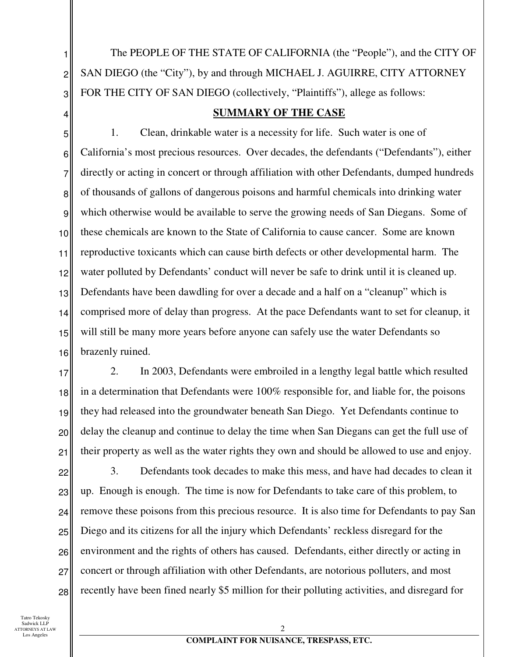The PEOPLE OF THE STATE OF CALIFORNIA (the "People"), and the CITY OF SAN DIEGO (the "City"), by and through MICHAEL J. AGUIRRE, CITY ATTORNEY FOR THE CITY OF SAN DIEGO (collectively, "Plaintiffs"), allege as follows:

## **SUMMARY OF THE CASE**

5 6 7 8 9 10 11 12 13 14 15 16 1. Clean, drinkable water is a necessity for life. Such water is one of California's most precious resources. Over decades, the defendants ("Defendants"), either directly or acting in concert or through affiliation with other Defendants, dumped hundreds of thousands of gallons of dangerous poisons and harmful chemicals into drinking water which otherwise would be available to serve the growing needs of San Diegans. Some of these chemicals are known to the State of California to cause cancer. Some are known reproductive toxicants which can cause birth defects or other developmental harm. The water polluted by Defendants' conduct will never be safe to drink until it is cleaned up. Defendants have been dawdling for over a decade and a half on a "cleanup" which is comprised more of delay than progress. At the pace Defendants want to set for cleanup, it will still be many more years before anyone can safely use the water Defendants so brazenly ruined.

17 18 19 20 21 2. In 2003, Defendants were embroiled in a lengthy legal battle which resulted in a determination that Defendants were 100% responsible for, and liable for, the poisons they had released into the groundwater beneath San Diego. Yet Defendants continue to delay the cleanup and continue to delay the time when San Diegans can get the full use of their property as well as the water rights they own and should be allowed to use and enjoy.

22 23 24 25 26 27 28 3. Defendants took decades to make this mess, and have had decades to clean it up. Enough is enough. The time is now for Defendants to take care of this problem, to remove these poisons from this precious resource. It is also time for Defendants to pay San Diego and its citizens for all the injury which Defendants' reckless disregard for the environment and the rights of others has caused. Defendants, either directly or acting in concert or through affiliation with other Defendants, are notorious polluters, and most recently have been fined nearly \$5 million for their polluting activities, and disregard for

Tatro Tekosky Sadwick LLP TTORNEYS AT LAW Los Angeles

1

2

3

4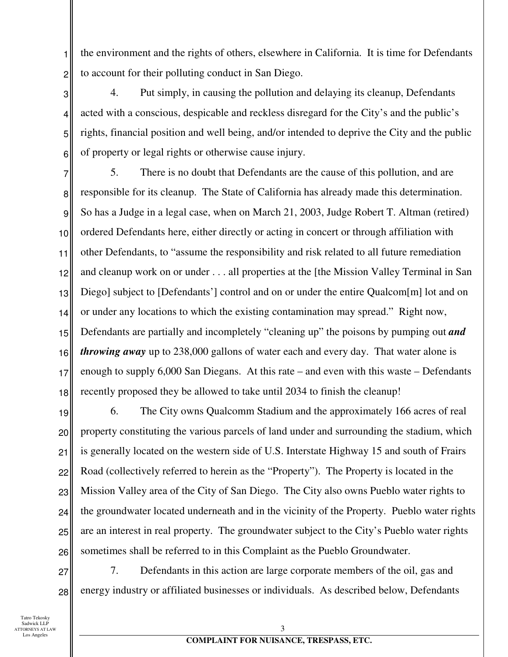the environment and the rights of others, elsewhere in California. It is time for Defendants to account for their polluting conduct in San Diego.

3 4 5 6 4. Put simply, in causing the pollution and delaying its cleanup, Defendants acted with a conscious, despicable and reckless disregard for the City's and the public's rights, financial position and well being, and/or intended to deprive the City and the public of property or legal rights or otherwise cause injury.

7 8 9 10 11 12 13 14 15 16 17 18 5. There is no doubt that Defendants are the cause of this pollution, and are responsible for its cleanup. The State of California has already made this determination. So has a Judge in a legal case, when on March 21, 2003, Judge Robert T. Altman (retired) ordered Defendants here, either directly or acting in concert or through affiliation with other Defendants, to "assume the responsibility and risk related to all future remediation and cleanup work on or under . . . all properties at the [the Mission Valley Terminal in San Diego] subject to [Defendants'] control and on or under the entire Qualcom[m] lot and on or under any locations to which the existing contamination may spread." Right now, Defendants are partially and incompletely "cleaning up" the poisons by pumping out *and throwing away* up to 238,000 gallons of water each and every day. That water alone is enough to supply 6,000 San Diegans. At this rate – and even with this waste – Defendants recently proposed they be allowed to take until 2034 to finish the cleanup!

19 20 21 22 23 24 25 26 6. The City owns Qualcomm Stadium and the approximately 166 acres of real property constituting the various parcels of land under and surrounding the stadium, which is generally located on the western side of U.S. Interstate Highway 15 and south of Frairs Road (collectively referred to herein as the "Property"). The Property is located in the Mission Valley area of the City of San Diego. The City also owns Pueblo water rights to the groundwater located underneath and in the vicinity of the Property. Pueblo water rights are an interest in real property. The groundwater subject to the City's Pueblo water rights sometimes shall be referred to in this Complaint as the Pueblo Groundwater.

27 28 7. Defendants in this action are large corporate members of the oil, gas and energy industry or affiliated businesses or individuals. As described below, Defendants

Tatro Tekosky Sadwick LLP ATTORNEYS AT LAW Los Angeles

1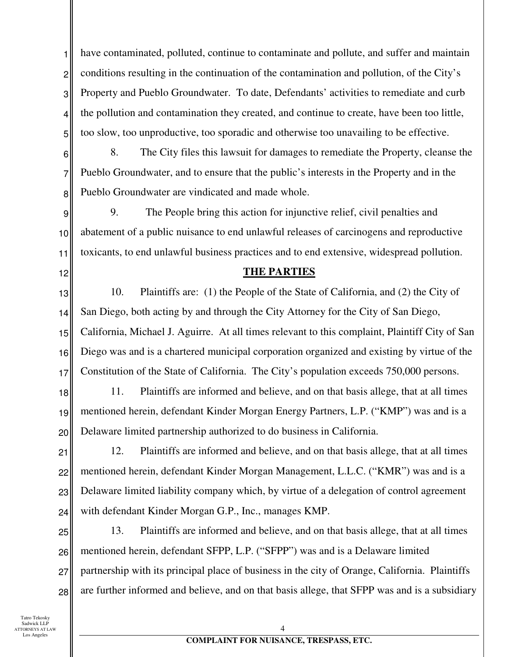1 2 3 4 5 have contaminated, polluted, continue to contaminate and pollute, and suffer and maintain conditions resulting in the continuation of the contamination and pollution, of the City's Property and Pueblo Groundwater. To date, Defendants' activities to remediate and curb the pollution and contamination they created, and continue to create, have been too little, too slow, too unproductive, too sporadic and otherwise too unavailing to be effective.

6 7 8 8. The City files this lawsuit for damages to remediate the Property, cleanse the Pueblo Groundwater, and to ensure that the public's interests in the Property and in the Pueblo Groundwater are vindicated and made whole.

9 10 11 9. The People bring this action for injunctive relief, civil penalties and abatement of a public nuisance to end unlawful releases of carcinogens and reproductive toxicants, to end unlawful business practices and to end extensive, widespread pollution.

## 12

## **THE PARTIES**

13 14 15 16 17 10. Plaintiffs are: (1) the People of the State of California, and (2) the City of San Diego, both acting by and through the City Attorney for the City of San Diego, California, Michael J. Aguirre. At all times relevant to this complaint, Plaintiff City of San Diego was and is a chartered municipal corporation organized and existing by virtue of the Constitution of the State of California. The City's population exceeds 750,000 persons.

18 19 20 11. Plaintiffs are informed and believe, and on that basis allege, that at all times mentioned herein, defendant Kinder Morgan Energy Partners, L.P. ("KMP") was and is a Delaware limited partnership authorized to do business in California.

21 22 23 24 12. Plaintiffs are informed and believe, and on that basis allege, that at all times mentioned herein, defendant Kinder Morgan Management, L.L.C. ("KMR") was and is a Delaware limited liability company which, by virtue of a delegation of control agreement with defendant Kinder Morgan G.P., Inc., manages KMP.

25 26 27 28 13. Plaintiffs are informed and believe, and on that basis allege, that at all times mentioned herein, defendant SFPP, L.P. ("SFPP") was and is a Delaware limited partnership with its principal place of business in the city of Orange, California. Plaintiffs are further informed and believe, and on that basis allege, that SFPP was and is a subsidiary

Tatro Tekosky Sadwick LLP ATTORNEYS AT LAW Los Angeles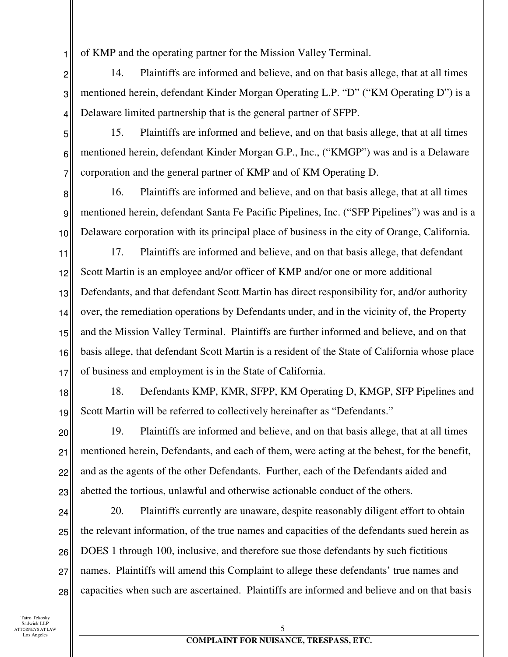of KMP and the operating partner for the Mission Valley Terminal.

2 3 4 14. Plaintiffs are informed and believe, and on that basis allege, that at all times mentioned herein, defendant Kinder Morgan Operating L.P. "D" ("KM Operating D") is a Delaware limited partnership that is the general partner of SFPP.

5 6 7 15. Plaintiffs are informed and believe, and on that basis allege, that at all times mentioned herein, defendant Kinder Morgan G.P., Inc., ("KMGP") was and is a Delaware corporation and the general partner of KMP and of KM Operating D.

8 9 10 16. Plaintiffs are informed and believe, and on that basis allege, that at all times mentioned herein, defendant Santa Fe Pacific Pipelines, Inc. ("SFP Pipelines") was and is a Delaware corporation with its principal place of business in the city of Orange, California.

11 12 13 14 15 16 17 17. Plaintiffs are informed and believe, and on that basis allege, that defendant Scott Martin is an employee and/or officer of KMP and/or one or more additional Defendants, and that defendant Scott Martin has direct responsibility for, and/or authority over, the remediation operations by Defendants under, and in the vicinity of, the Property and the Mission Valley Terminal. Plaintiffs are further informed and believe, and on that basis allege, that defendant Scott Martin is a resident of the State of California whose place of business and employment is in the State of California.

18 19 18. Defendants KMP, KMR, SFPP, KM Operating D, KMGP, SFP Pipelines and Scott Martin will be referred to collectively hereinafter as "Defendants."

20 21 22 23 19. Plaintiffs are informed and believe, and on that basis allege, that at all times mentioned herein, Defendants, and each of them, were acting at the behest, for the benefit, and as the agents of the other Defendants. Further, each of the Defendants aided and abetted the tortious, unlawful and otherwise actionable conduct of the others.

24 25 26 27 28 20. Plaintiffs currently are unaware, despite reasonably diligent effort to obtain the relevant information, of the true names and capacities of the defendants sued herein as DOES 1 through 100, inclusive, and therefore sue those defendants by such fictitious names. Plaintiffs will amend this Complaint to allege these defendants' true names and capacities when such are ascertained. Plaintiffs are informed and believe and on that basis

Tatro Tekosky Sadwick LLP ATTORNEYS AT LAW Los Angeles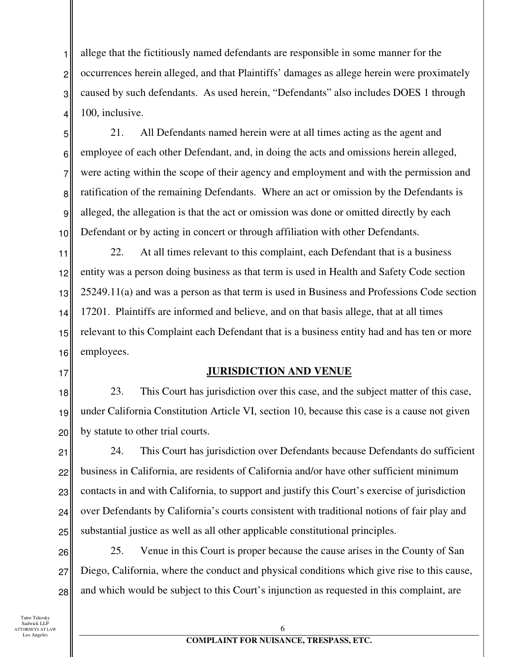1 2 3 4 allege that the fictitiously named defendants are responsible in some manner for the occurrences herein alleged, and that Plaintiffs' damages as allege herein were proximately caused by such defendants. As used herein, "Defendants" also includes DOES 1 through 100, inclusive.

5 6 7 8 9 10 21. All Defendants named herein were at all times acting as the agent and employee of each other Defendant, and, in doing the acts and omissions herein alleged, were acting within the scope of their agency and employment and with the permission and ratification of the remaining Defendants. Where an act or omission by the Defendants is alleged, the allegation is that the act or omission was done or omitted directly by each Defendant or by acting in concert or through affiliation with other Defendants.

11 12 13 14 15 16 22. At all times relevant to this complaint, each Defendant that is a business entity was a person doing business as that term is used in Health and Safety Code section 25249.11(a) and was a person as that term is used in Business and Professions Code section 17201. Plaintiffs are informed and believe, and on that basis allege, that at all times relevant to this Complaint each Defendant that is a business entity had and has ten or more employees.

## **JURISDICTION AND VENUE**

18 19 20 23. This Court has jurisdiction over this case, and the subject matter of this case, under California Constitution Article VI, section 10, because this case is a cause not given by statute to other trial courts.

21 22 23 24 25 24. This Court has jurisdiction over Defendants because Defendants do sufficient business in California, are residents of California and/or have other sufficient minimum contacts in and with California, to support and justify this Court's exercise of jurisdiction over Defendants by California's courts consistent with traditional notions of fair play and substantial justice as well as all other applicable constitutional principles.

26 27 28 25. Venue in this Court is proper because the cause arises in the County of San Diego, California, where the conduct and physical conditions which give rise to this cause, and which would be subject to this Court's injunction as requested in this complaint, are

Tatro Tekosky Sadwick LLP TTORNEYS AT LAW Los Angeles

17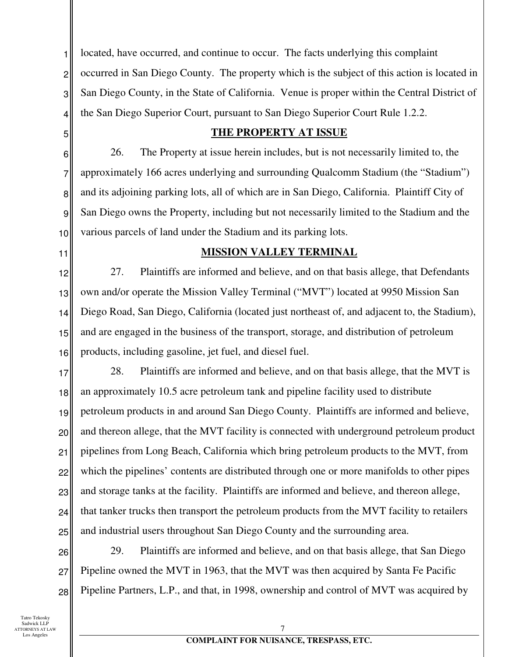1 2 3 4 located, have occurred, and continue to occur. The facts underlying this complaint occurred in San Diego County. The property which is the subject of this action is located in San Diego County, in the State of California. Venue is proper within the Central District of the San Diego Superior Court, pursuant to San Diego Superior Court Rule 1.2.2.

## **THE PROPERTY AT ISSUE**

6 7 8 9 10 26. The Property at issue herein includes, but is not necessarily limited to, the approximately 166 acres underlying and surrounding Qualcomm Stadium (the "Stadium") and its adjoining parking lots, all of which are in San Diego, California. Plaintiff City of San Diego owns the Property, including but not necessarily limited to the Stadium and the various parcels of land under the Stadium and its parking lots.

#### 11

5

## **MISSION VALLEY TERMINAL**

12 13 14 15 16 27. Plaintiffs are informed and believe, and on that basis allege, that Defendants own and/or operate the Mission Valley Terminal ("MVT") located at 9950 Mission San Diego Road, San Diego, California (located just northeast of, and adjacent to, the Stadium), and are engaged in the business of the transport, storage, and distribution of petroleum products, including gasoline, jet fuel, and diesel fuel.

17 18 19 20 21 22 23 24 25 28. Plaintiffs are informed and believe, and on that basis allege, that the MVT is an approximately 10.5 acre petroleum tank and pipeline facility used to distribute petroleum products in and around San Diego County. Plaintiffs are informed and believe, and thereon allege, that the MVT facility is connected with underground petroleum product pipelines from Long Beach, California which bring petroleum products to the MVT, from which the pipelines' contents are distributed through one or more manifolds to other pipes and storage tanks at the facility. Plaintiffs are informed and believe, and thereon allege, that tanker trucks then transport the petroleum products from the MVT facility to retailers and industrial users throughout San Diego County and the surrounding area.

26 27 28 29. Plaintiffs are informed and believe, and on that basis allege, that San Diego Pipeline owned the MVT in 1963, that the MVT was then acquired by Santa Fe Pacific Pipeline Partners, L.P., and that, in 1998, ownership and control of MVT was acquired by

Tatro Tekosky Sadwick LLP ATTORNEYS AT LAW Los Angeles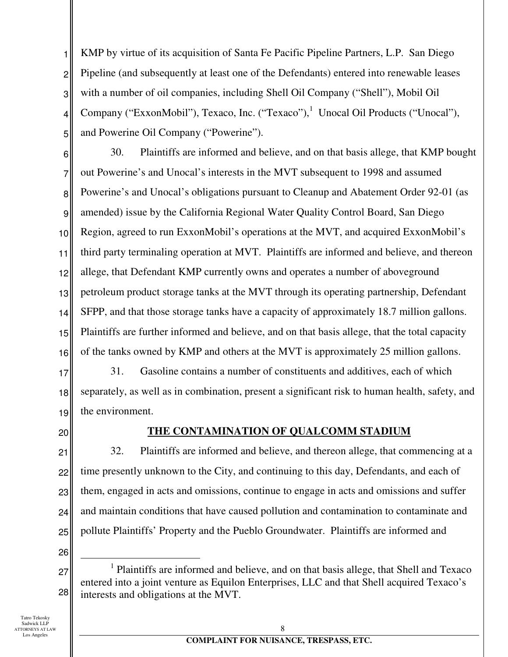1 2 3 4 5 KMP by virtue of its acquisition of Santa Fe Pacific Pipeline Partners, L.P. San Diego Pipeline (and subsequently at least one of the Defendants) entered into renewable leases with a number of oil companies, including Shell Oil Company ("Shell"), Mobil Oil Company ("ExxonMobil"), Texaco, Inc. ("Texaco"),<sup>1</sup> Unocal Oil Products ("Unocal"), and Powerine Oil Company ("Powerine").

6 7 8 9 10 11 12 13 14 15 16 30. Plaintiffs are informed and believe, and on that basis allege, that KMP bought out Powerine's and Unocal's interests in the MVT subsequent to 1998 and assumed Powerine's and Unocal's obligations pursuant to Cleanup and Abatement Order 92-01 (as amended) issue by the California Regional Water Quality Control Board, San Diego Region, agreed to run ExxonMobil's operations at the MVT, and acquired ExxonMobil's third party terminaling operation at MVT. Plaintiffs are informed and believe, and thereon allege, that Defendant KMP currently owns and operates a number of aboveground petroleum product storage tanks at the MVT through its operating partnership, Defendant SFPP, and that those storage tanks have a capacity of approximately 18.7 million gallons. Plaintiffs are further informed and believe, and on that basis allege, that the total capacity of the tanks owned by KMP and others at the MVT is approximately 25 million gallons.

17 18 19 31. Gasoline contains a number of constituents and additives, each of which separately, as well as in combination, present a significant risk to human health, safety, and the environment.

20

## **THE CONTAMINATION OF QUALCOMM STADIUM**

21 22 23 24 25 32. Plaintiffs are informed and believe, and thereon allege, that commencing at a time presently unknown to the City, and continuing to this day, Defendants, and each of them, engaged in acts and omissions, continue to engage in acts and omissions and suffer and maintain conditions that have caused pollution and contamination to contaminate and pollute Plaintiffs' Property and the Pueblo Groundwater. Plaintiffs are informed and

26

Tatro Tekosky Sadwick LLP ATTORNEYS AT LAW Los Angeles

<sup>27</sup> 28 <sup>1</sup> Plaintiffs are informed and believe, and on that basis allege, that Shell and Texaco entered into a joint venture as Equilon Enterprises, LLC and that Shell acquired Texaco's interests and obligations at the MVT.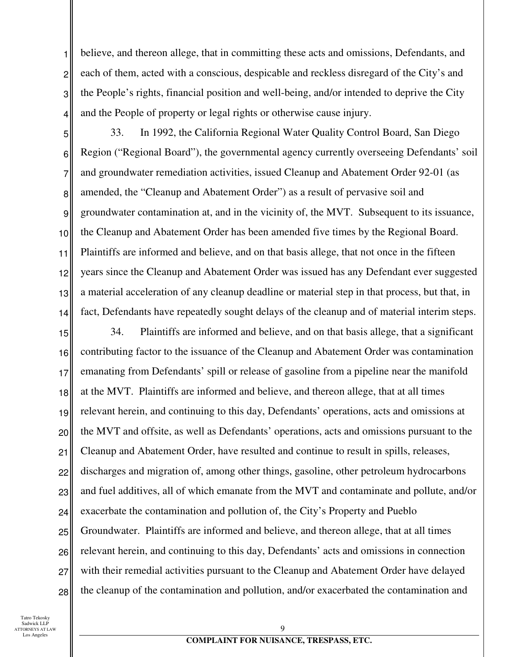2 3 4 believe, and thereon allege, that in committing these acts and omissions, Defendants, and each of them, acted with a conscious, despicable and reckless disregard of the City's and the People's rights, financial position and well-being, and/or intended to deprive the City and the People of property or legal rights or otherwise cause injury.

5 6 7 8 9 10 11 12 13 14 33. In 1992, the California Regional Water Quality Control Board, San Diego Region ("Regional Board"), the governmental agency currently overseeing Defendants' soil and groundwater remediation activities, issued Cleanup and Abatement Order 92-01 (as amended, the "Cleanup and Abatement Order") as a result of pervasive soil and groundwater contamination at, and in the vicinity of, the MVT. Subsequent to its issuance, the Cleanup and Abatement Order has been amended five times by the Regional Board. Plaintiffs are informed and believe, and on that basis allege, that not once in the fifteen years since the Cleanup and Abatement Order was issued has any Defendant ever suggested a material acceleration of any cleanup deadline or material step in that process, but that, in fact, Defendants have repeatedly sought delays of the cleanup and of material interim steps.

15 16 17 18 19 20 21 22 23 24 25 26 27 28 34. Plaintiffs are informed and believe, and on that basis allege, that a significant contributing factor to the issuance of the Cleanup and Abatement Order was contamination emanating from Defendants' spill or release of gasoline from a pipeline near the manifold at the MVT. Plaintiffs are informed and believe, and thereon allege, that at all times relevant herein, and continuing to this day, Defendants' operations, acts and omissions at the MVT and offsite, as well as Defendants' operations, acts and omissions pursuant to the Cleanup and Abatement Order, have resulted and continue to result in spills, releases, discharges and migration of, among other things, gasoline, other petroleum hydrocarbons and fuel additives, all of which emanate from the MVT and contaminate and pollute, and/or exacerbate the contamination and pollution of, the City's Property and Pueblo Groundwater. Plaintiffs are informed and believe, and thereon allege, that at all times relevant herein, and continuing to this day, Defendants' acts and omissions in connection with their remedial activities pursuant to the Cleanup and Abatement Order have delayed the cleanup of the contamination and pollution, and/or exacerbated the contamination and

Tatro Tekosky Sadwick LLP ATTORNEYS AT LAW Los Angeles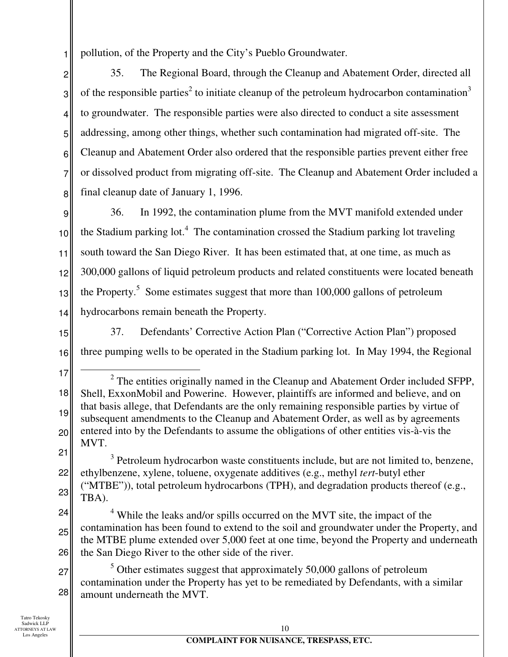pollution, of the Property and the City's Pueblo Groundwater.

2 3 4 5 6 7 8 35. The Regional Board, through the Cleanup and Abatement Order, directed all of the responsible parties<sup>2</sup> to initiate cleanup of the petroleum hydrocarbon contamination<sup>3</sup> to groundwater. The responsible parties were also directed to conduct a site assessment addressing, among other things, whether such contamination had migrated off-site. The Cleanup and Abatement Order also ordered that the responsible parties prevent either free or dissolved product from migrating off-site. The Cleanup and Abatement Order included a final cleanup date of January 1, 1996.

9 10 11 12 13 14 36. In 1992, the contamination plume from the MVT manifold extended under the Stadium parking lot.<sup>4</sup> The contamination crossed the Stadium parking lot traveling south toward the San Diego River. It has been estimated that, at one time, as much as 300,000 gallons of liquid petroleum products and related constituents were located beneath the Property.<sup>5</sup> Some estimates suggest that more than 100,000 gallons of petroleum hydrocarbons remain beneath the Property.

15

16

1

37. Defendants' Corrective Action Plan ("Corrective Action Plan") proposed three pumping wells to be operated in the Stadium parking lot. In May 1994, the Regional

17 18 19 20 21  $2$  The entities originally named in the Cleanup and Abatement Order included SFPP, Shell, ExxonMobil and Powerine. However, plaintiffs are informed and believe, and on that basis allege, that Defendants are the only remaining responsible parties by virtue of subsequent amendments to the Cleanup and Abatement Order, as well as by agreements entered into by the Defendants to assume the obligations of other entities vis-à-vis the MVT.

22 23 <sup>3</sup> Petroleum hydrocarbon waste constituents include, but are not limited to, benzene, ethylbenzene, xylene, toluene, oxygenate additives (e.g., methyl *tert*-butyl ether ("MTBE")), total petroleum hydrocarbons (TPH), and degradation products thereof (e.g., TBA).

24 25 26 <sup>4</sup> While the leaks and/or spills occurred on the MVT site, the impact of the contamination has been found to extend to the soil and groundwater under the Property, and the MTBE plume extended over 5,000 feet at one time, beyond the Property and underneath the San Diego River to the other side of the river.

27 28  $5$  Other estimates suggest that approximately 50,000 gallons of petroleum contamination under the Property has yet to be remediated by Defendants, with a similar amount underneath the MVT.

Tatro Tekosky Sadwick LLP ATTORNEYS AT LAW Los Angeles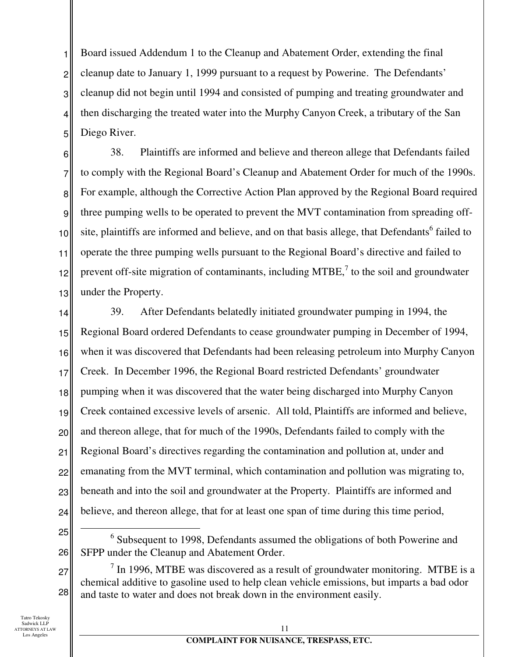1 2 3 4 5 Board issued Addendum 1 to the Cleanup and Abatement Order, extending the final cleanup date to January 1, 1999 pursuant to a request by Powerine. The Defendants' cleanup did not begin until 1994 and consisted of pumping and treating groundwater and then discharging the treated water into the Murphy Canyon Creek, a tributary of the San Diego River.

6 7 8 9 10 11 12 13 38. Plaintiffs are informed and believe and thereon allege that Defendants failed to comply with the Regional Board's Cleanup and Abatement Order for much of the 1990s. For example, although the Corrective Action Plan approved by the Regional Board required three pumping wells to be operated to prevent the MVT contamination from spreading offsite, plaintiffs are informed and believe, and on that basis allege, that Defendants<sup>6</sup> failed to operate the three pumping wells pursuant to the Regional Board's directive and failed to prevent off-site migration of contaminants, including  $MTBE$ ,  $\frac{7}{1}$  to the soil and groundwater under the Property.

14 15 16 17 18 19 20 21 22 23 24 39. After Defendants belatedly initiated groundwater pumping in 1994, the Regional Board ordered Defendants to cease groundwater pumping in December of 1994, when it was discovered that Defendants had been releasing petroleum into Murphy Canyon Creek. In December 1996, the Regional Board restricted Defendants' groundwater pumping when it was discovered that the water being discharged into Murphy Canyon Creek contained excessive levels of arsenic. All told, Plaintiffs are informed and believe, and thereon allege, that for much of the 1990s, Defendants failed to comply with the Regional Board's directives regarding the contamination and pollution at, under and emanating from the MVT terminal, which contamination and pollution was migrating to, beneath and into the soil and groundwater at the Property. Plaintiffs are informed and believe, and thereon allege, that for at least one span of time during this time period,

<sup>26</sup> <sup>6</sup> Subsequent to 1998, Defendants assumed the obligations of both Powerine and SFPP under the Cleanup and Abatement Order.

<sup>27</sup> 28  $<sup>7</sup>$  In 1996, MTBE was discovered as a result of groundwater monitoring. MTBE is a</sup> chemical additive to gasoline used to help clean vehicle emissions, but imparts a bad odor and taste to water and does not break down in the environment easily.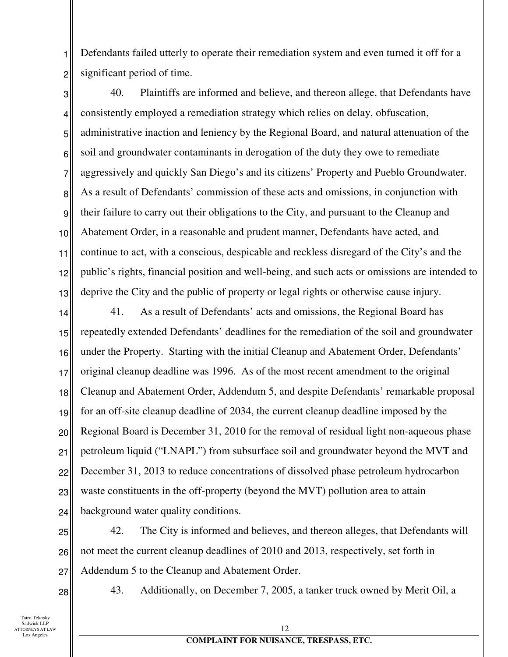1 2 Defendants failed utterly to operate their remediation system and even turned it off for a significant period of time.

3 4 5 6 7 8 9 10 11 12 13 40. Plaintiffs are informed and believe, and thereon allege, that Defendants have consistently employed a remediation strategy which relies on delay, obfuscation, administrative inaction and leniency by the Regional Board, and natural attenuation of the soil and groundwater contaminants in derogation of the duty they owe to remediate aggressively and quickly San Diego's and its citizens' Property and Pueblo Groundwater. As a result of Defendants' commission of these acts and omissions, in conjunction with their failure to carry out their obligations to the City, and pursuant to the Cleanup and Abatement Order, in a reasonable and prudent manner, Defendants have acted, and continue to act, with a conscious, despicable and reckless disregard of the City's and the public's rights, financial position and well-being, and such acts or omissions are intended to deprive the City and the public of property or legal rights or otherwise cause injury.

14 15 16 17 18 19 20 21 22 23 24 41. As a result of Defendants' acts and omissions, the Regional Board has repeatedly extended Defendants' deadlines for the remediation of the soil and groundwater under the Property. Starting with the initial Cleanup and Abatement Order, Defendants' original cleanup deadline was 1996. As of the most recent amendment to the original Cleanup and Abatement Order, Addendum 5, and despite Defendants' remarkable proposal for an off-site cleanup deadline of 2034, the current cleanup deadline imposed by the Regional Board is December 31, 2010 for the removal of residual light non-aqueous phase petroleum liquid ("LNAPL") from subsurface soil and groundwater beyond the MVT and December 31, 2013 to reduce concentrations of dissolved phase petroleum hydrocarbon waste constituents in the off-property (beyond the MVT) pollution area to attain background water quality conditions.

25 26 27 42. The City is informed and believes, and thereon alleges, that Defendants will not meet the current cleanup deadlines of 2010 and 2013, respectively, set forth in Addendum 5 to the Cleanup and Abatement Order.

28

43. Additionally, on December 7, 2005, a tanker truck owned by Merit Oil, a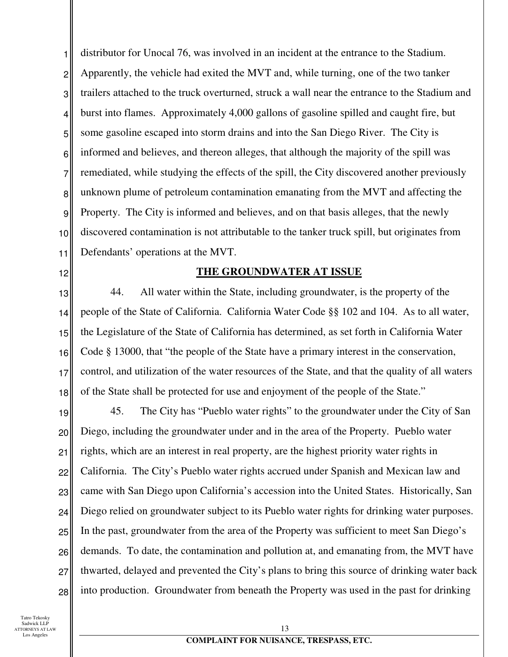1 2 3 4 5 6 7 8 9 10 11 distributor for Unocal 76, was involved in an incident at the entrance to the Stadium. Apparently, the vehicle had exited the MVT and, while turning, one of the two tanker trailers attached to the truck overturned, struck a wall near the entrance to the Stadium and burst into flames. Approximately 4,000 gallons of gasoline spilled and caught fire, but some gasoline escaped into storm drains and into the San Diego River. The City is informed and believes, and thereon alleges, that although the majority of the spill was remediated, while studying the effects of the spill, the City discovered another previously unknown plume of petroleum contamination emanating from the MVT and affecting the Property. The City is informed and believes, and on that basis alleges, that the newly discovered contamination is not attributable to the tanker truck spill, but originates from Defendants' operations at the MVT.

**THE GROUNDWATER AT ISSUE**

13 14 15 16 17 18 44. All water within the State, including groundwater, is the property of the people of the State of California. California Water Code §§ 102 and 104. As to all water, the Legislature of the State of California has determined, as set forth in California Water Code § 13000, that "the people of the State have a primary interest in the conservation, control, and utilization of the water resources of the State, and that the quality of all waters of the State shall be protected for use and enjoyment of the people of the State."

19 20 21 22 23 24 25 26 27 28 45. The City has "Pueblo water rights" to the groundwater under the City of San Diego, including the groundwater under and in the area of the Property. Pueblo water rights, which are an interest in real property, are the highest priority water rights in California. The City's Pueblo water rights accrued under Spanish and Mexican law and came with San Diego upon California's accession into the United States. Historically, San Diego relied on groundwater subject to its Pueblo water rights for drinking water purposes. In the past, groundwater from the area of the Property was sufficient to meet San Diego's demands. To date, the contamination and pollution at, and emanating from, the MVT have thwarted, delayed and prevented the City's plans to bring this source of drinking water back into production. Groundwater from beneath the Property was used in the past for drinking

Tatro Tekosky Sadwick LLP ATTORNEYS AT LAW Los Angeles

12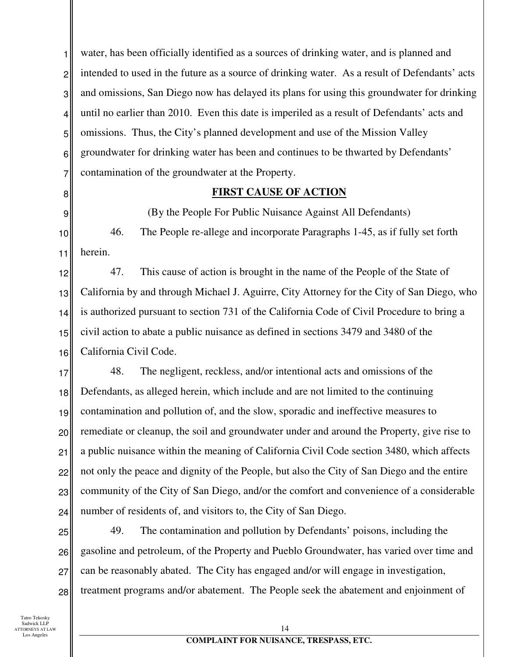1 2 3 4 5 6 7 water, has been officially identified as a sources of drinking water, and is planned and intended to used in the future as a source of drinking water. As a result of Defendants' acts and omissions, San Diego now has delayed its plans for using this groundwater for drinking until no earlier than 2010. Even this date is imperiled as a result of Defendants' acts and omissions. Thus, the City's planned development and use of the Mission Valley groundwater for drinking water has been and continues to be thwarted by Defendants' contamination of the groundwater at the Property.

8

9

**FIRST CAUSE OF ACTION**

(By the People For Public Nuisance Against All Defendants)

10 11 46. The People re-allege and incorporate Paragraphs 1-45, as if fully set forth herein.

12 13 14 15 16 47. This cause of action is brought in the name of the People of the State of California by and through Michael J. Aguirre, City Attorney for the City of San Diego, who is authorized pursuant to section 731 of the California Code of Civil Procedure to bring a civil action to abate a public nuisance as defined in sections 3479 and 3480 of the California Civil Code.

17 18 19 20 21 22 23 24 48. The negligent, reckless, and/or intentional acts and omissions of the Defendants, as alleged herein, which include and are not limited to the continuing contamination and pollution of, and the slow, sporadic and ineffective measures to remediate or cleanup, the soil and groundwater under and around the Property, give rise to a public nuisance within the meaning of California Civil Code section 3480, which affects not only the peace and dignity of the People, but also the City of San Diego and the entire community of the City of San Diego, and/or the comfort and convenience of a considerable number of residents of, and visitors to, the City of San Diego.

25 26 27 28 49. The contamination and pollution by Defendants' poisons, including the gasoline and petroleum, of the Property and Pueblo Groundwater, has varied over time and can be reasonably abated. The City has engaged and/or will engage in investigation, treatment programs and/or abatement. The People seek the abatement and enjoinment of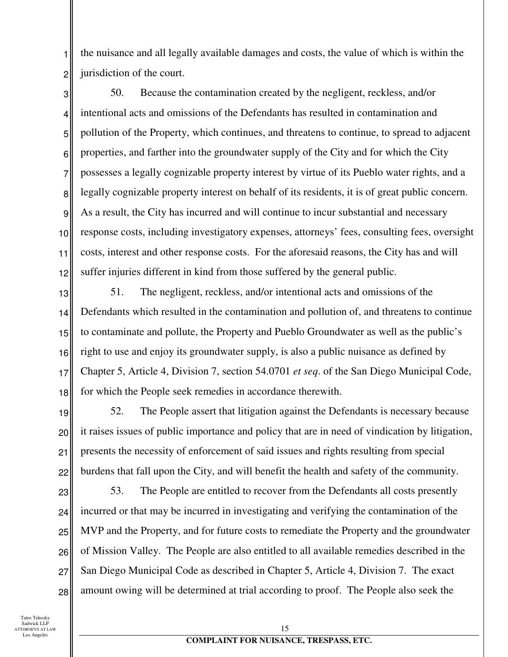1 2 the nuisance and all legally available damages and costs, the value of which is within the jurisdiction of the court.

3 4 5 6 7 8 9 10 11 12 50. Because the contamination created by the negligent, reckless, and/or intentional acts and omissions of the Defendants has resulted in contamination and pollution of the Property, which continues, and threatens to continue, to spread to adjacent properties, and farther into the groundwater supply of the City and for which the City possesses a legally cognizable property interest by virtue of its Pueblo water rights, and a legally cognizable property interest on behalf of its residents, it is of great public concern. As a result, the City has incurred and will continue to incur substantial and necessary response costs, including investigatory expenses, attorneys' fees, consulting fees, oversight costs, interest and other response costs. For the aforesaid reasons, the City has and will suffer injuries different in kind from those suffered by the general public.

13 14 15 16 17 18 51. The negligent, reckless, and/or intentional acts and omissions of the Defendants which resulted in the contamination and pollution of, and threatens to continue to contaminate and pollute, the Property and Pueblo Groundwater as well as the public's right to use and enjoy its groundwater supply, is also a public nuisance as defined by Chapter 5, Article 4, Division 7, section 54.0701 *et seq*. of the San Diego Municipal Code, for which the People seek remedies in accordance therewith.

19 20 21 22 52. The People assert that litigation against the Defendants is necessary because it raises issues of public importance and policy that are in need of vindication by litigation, presents the necessity of enforcement of said issues and rights resulting from special burdens that fall upon the City, and will benefit the health and safety of the community.

23 24 25 26 27 28 53. The People are entitled to recover from the Defendants all costs presently incurred or that may be incurred in investigating and verifying the contamination of the MVP and the Property, and for future costs to remediate the Property and the groundwater of Mission Valley. The People are also entitled to all available remedies described in the San Diego Municipal Code as described in Chapter 5, Article 4, Division 7. The exact amount owing will be determined at trial according to proof. The People also seek the

Tatro Tekosky Sadwick LLP ATTORNEYS AT LAW Los Angeles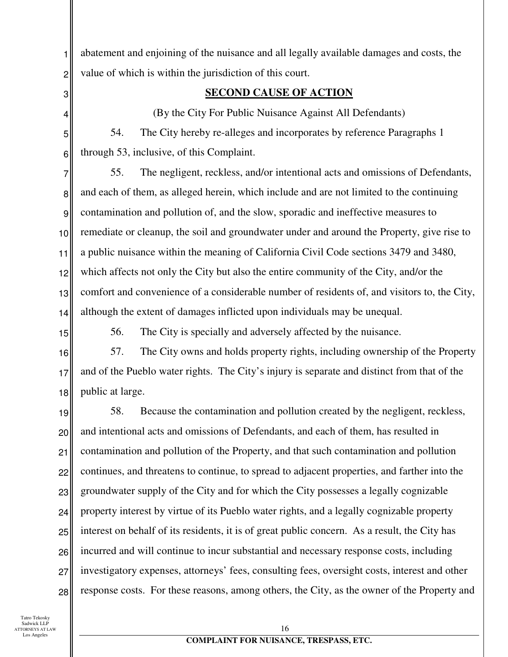abatement and enjoining of the nuisance and all legally available damages and costs, the value of which is within the jurisdiction of this court.

# 3 4

5

6

1

2

## **SECOND CAUSE OF ACTION**

(By the City For Public Nuisance Against All Defendants)

54. The City hereby re-alleges and incorporates by reference Paragraphs 1 through 53, inclusive, of this Complaint.

7 8 9 10 11 12 13 14 55. The negligent, reckless, and/or intentional acts and omissions of Defendants, and each of them, as alleged herein, which include and are not limited to the continuing contamination and pollution of, and the slow, sporadic and ineffective measures to remediate or cleanup, the soil and groundwater under and around the Property, give rise to a public nuisance within the meaning of California Civil Code sections 3479 and 3480, which affects not only the City but also the entire community of the City, and/or the comfort and convenience of a considerable number of residents of, and visitors to, the City, although the extent of damages inflicted upon individuals may be unequal.

15

56. The City is specially and adversely affected by the nuisance.

16 17 18 57. The City owns and holds property rights, including ownership of the Property and of the Pueblo water rights. The City's injury is separate and distinct from that of the public at large.

19 20 21 22 23 24 25 26 27 28 58. Because the contamination and pollution created by the negligent, reckless, and intentional acts and omissions of Defendants, and each of them, has resulted in contamination and pollution of the Property, and that such contamination and pollution continues, and threatens to continue, to spread to adjacent properties, and farther into the groundwater supply of the City and for which the City possesses a legally cognizable property interest by virtue of its Pueblo water rights, and a legally cognizable property interest on behalf of its residents, it is of great public concern. As a result, the City has incurred and will continue to incur substantial and necessary response costs, including investigatory expenses, attorneys' fees, consulting fees, oversight costs, interest and other response costs. For these reasons, among others, the City, as the owner of the Property and

Tatro Tekosky Sadwick LLP ATTORNEYS AT LAW Los Angeles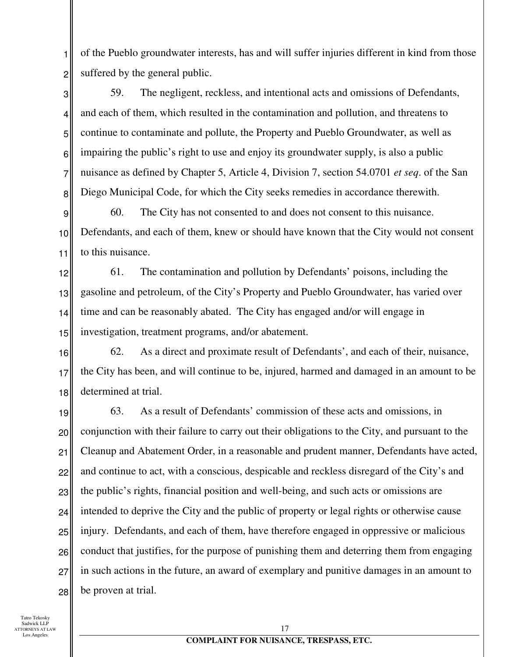1 2 of the Pueblo groundwater interests, has and will suffer injuries different in kind from those suffered by the general public.

3 4 5 6 7 8 59. The negligent, reckless, and intentional acts and omissions of Defendants, and each of them, which resulted in the contamination and pollution, and threatens to continue to contaminate and pollute, the Property and Pueblo Groundwater, as well as impairing the public's right to use and enjoy its groundwater supply, is also a public nuisance as defined by Chapter 5, Article 4, Division 7, section 54.0701 *et seq*. of the San Diego Municipal Code, for which the City seeks remedies in accordance therewith.

9 10 11 60. The City has not consented to and does not consent to this nuisance. Defendants, and each of them, knew or should have known that the City would not consent to this nuisance.

12 13 14 15 61. The contamination and pollution by Defendants' poisons, including the gasoline and petroleum, of the City's Property and Pueblo Groundwater, has varied over time and can be reasonably abated. The City has engaged and/or will engage in investigation, treatment programs, and/or abatement.

16 17 18 62. As a direct and proximate result of Defendants', and each of their, nuisance, the City has been, and will continue to be, injured, harmed and damaged in an amount to be determined at trial.

19 20 21 22 23 24 25 26 27 28 63. As a result of Defendants' commission of these acts and omissions, in conjunction with their failure to carry out their obligations to the City, and pursuant to the Cleanup and Abatement Order, in a reasonable and prudent manner, Defendants have acted, and continue to act, with a conscious, despicable and reckless disregard of the City's and the public's rights, financial position and well-being, and such acts or omissions are intended to deprive the City and the public of property or legal rights or otherwise cause injury. Defendants, and each of them, have therefore engaged in oppressive or malicious conduct that justifies, for the purpose of punishing them and deterring them from engaging in such actions in the future, an award of exemplary and punitive damages in an amount to be proven at trial.

Tatro Tekosky Sadwick LLP TTORNEYS AT LAW Los Angeles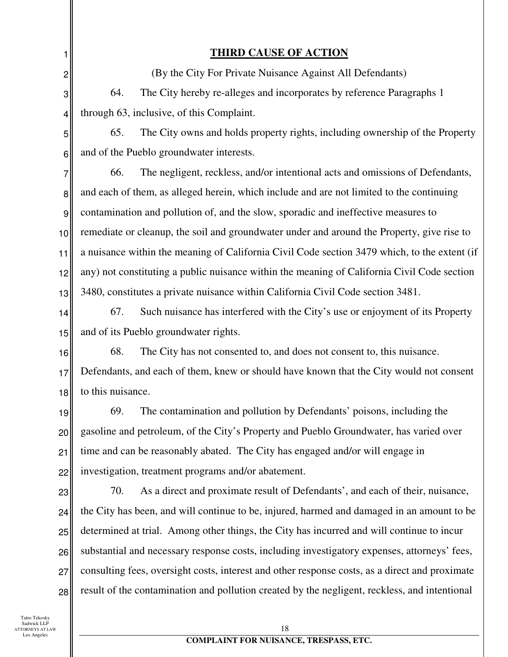| $\mathbf{1}$                                                         | <b>THIRD CAUSE OF ACTION</b>                                                                   |  |
|----------------------------------------------------------------------|------------------------------------------------------------------------------------------------|--|
| 2                                                                    | (By the City For Private Nuisance Against All Defendants)                                      |  |
| 3                                                                    | The City hereby re-alleges and incorporates by reference Paragraphs 1<br>64.                   |  |
| $\overline{4}$                                                       | through 63, inclusive, of this Complaint.                                                      |  |
| 5                                                                    | 65.<br>The City owns and holds property rights, including ownership of the Property            |  |
| $6 \mid$                                                             | and of the Pueblo groundwater interests.                                                       |  |
| $\overline{7}$                                                       | The negligent, reckless, and/or intentional acts and omissions of Defendants,<br>66.           |  |
| 8 <sup>1</sup>                                                       | and each of them, as alleged herein, which include and are not limited to the continuing       |  |
| $\overline{9}$                                                       | contamination and pollution of, and the slow, sporadic and ineffective measures to             |  |
| 10                                                                   | remediate or cleanup, the soil and groundwater under and around the Property, give rise to     |  |
| 11                                                                   | a nuisance within the meaning of California Civil Code section 3479 which, to the extent (if   |  |
| 12                                                                   | any) not constituting a public nuisance within the meaning of California Civil Code section    |  |
| 13                                                                   | 3480, constitutes a private nuisance within California Civil Code section 3481.                |  |
| 14                                                                   | 67.<br>Such nuisance has interfered with the City's use or enjoyment of its Property           |  |
| 15                                                                   | and of its Pueblo groundwater rights.                                                          |  |
| 16                                                                   | 68.<br>The City has not consented to, and does not consent to, this nuisance.                  |  |
| 17                                                                   | Defendants, and each of them, knew or should have known that the City would not consent        |  |
| 18                                                                   | to this nuisance.                                                                              |  |
| 19                                                                   | The contamination and pollution by Defendants' poisons, including the<br>69.                   |  |
| 20                                                                   | gasoline and petroleum, of the City's Property and Pueblo Groundwater, has varied over         |  |
| 21                                                                   | time and can be reasonably abated. The City has engaged and/or will engage in                  |  |
| 22                                                                   | investigation, treatment programs and/or abatement.                                            |  |
| 23                                                                   | As a direct and proximate result of Defendants', and each of their, nuisance,<br>70.           |  |
| 24                                                                   | the City has been, and will continue to be, injured, harmed and damaged in an amount to be     |  |
| 25                                                                   | determined at trial. Among other things, the City has incurred and will continue to incur      |  |
| 26                                                                   | substantial and necessary response costs, including investigatory expenses, attorneys' fees,   |  |
| 27                                                                   | consulting fees, oversight costs, interest and other response costs, as a direct and proximate |  |
| 28                                                                   | result of the contamination and pollution created by the negligent, reckless, and intentional  |  |
| Tatro Tekosky<br>Sadwick LLP<br><b>FORNEYS AT LAW</b><br>Los Angeles | 18                                                                                             |  |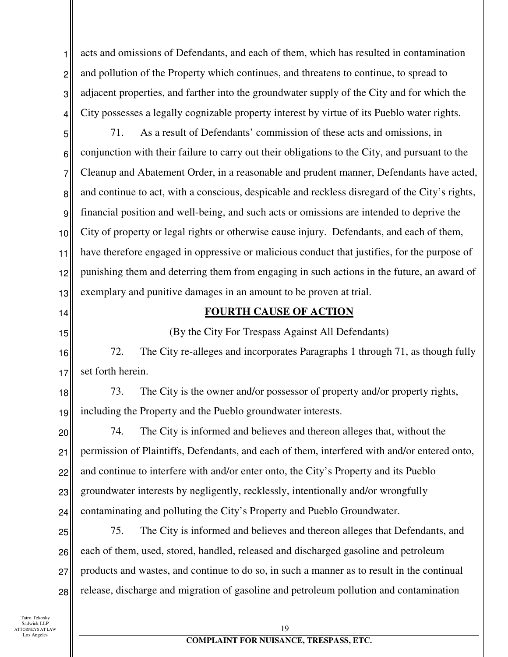1 2 3 4 acts and omissions of Defendants, and each of them, which has resulted in contamination and pollution of the Property which continues, and threatens to continue, to spread to adjacent properties, and farther into the groundwater supply of the City and for which the City possesses a legally cognizable property interest by virtue of its Pueblo water rights.

5 6 7 8 9 10 11 12 13 71. As a result of Defendants' commission of these acts and omissions, in conjunction with their failure to carry out their obligations to the City, and pursuant to the Cleanup and Abatement Order, in a reasonable and prudent manner, Defendants have acted, and continue to act, with a conscious, despicable and reckless disregard of the City's rights, financial position and well-being, and such acts or omissions are intended to deprive the City of property or legal rights or otherwise cause injury. Defendants, and each of them, have therefore engaged in oppressive or malicious conduct that justifies, for the purpose of punishing them and deterring them from engaging in such actions in the future, an award of exemplary and punitive damages in an amount to be proven at trial.

14

15

## **FOURTH CAUSE OF ACTION**

(By the City For Trespass Against All Defendants)

16 17 72. The City re-alleges and incorporates Paragraphs 1 through 71, as though fully set forth herein.

18 19 73. The City is the owner and/or possessor of property and/or property rights, including the Property and the Pueblo groundwater interests.

20 21 22 23 24 74. The City is informed and believes and thereon alleges that, without the permission of Plaintiffs, Defendants, and each of them, interfered with and/or entered onto, and continue to interfere with and/or enter onto, the City's Property and its Pueblo groundwater interests by negligently, recklessly, intentionally and/or wrongfully contaminating and polluting the City's Property and Pueblo Groundwater.

25 26 27 28 75. The City is informed and believes and thereon alleges that Defendants, and each of them, used, stored, handled, released and discharged gasoline and petroleum products and wastes, and continue to do so, in such a manner as to result in the continual release, discharge and migration of gasoline and petroleum pollution and contamination

Tatro Tekosky Sadwick LLP TTORNEYS AT LAW Los Angeles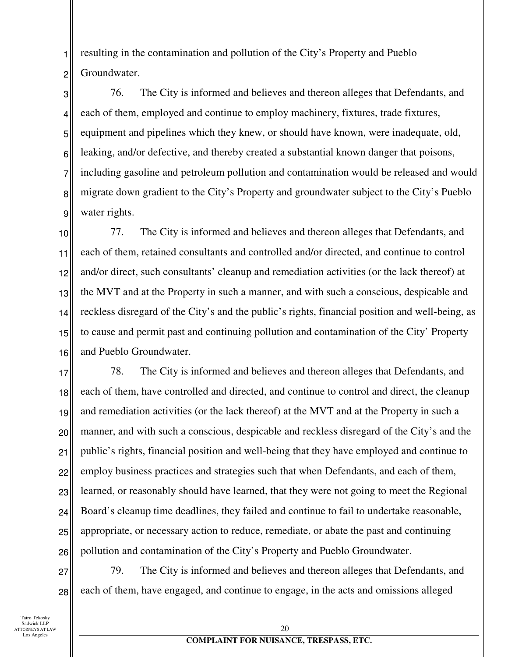1 2 resulting in the contamination and pollution of the City's Property and Pueblo Groundwater.

3 4 5 6 7 8 9 76. The City is informed and believes and thereon alleges that Defendants, and each of them, employed and continue to employ machinery, fixtures, trade fixtures, equipment and pipelines which they knew, or should have known, were inadequate, old, leaking, and/or defective, and thereby created a substantial known danger that poisons, including gasoline and petroleum pollution and contamination would be released and would migrate down gradient to the City's Property and groundwater subject to the City's Pueblo water rights.

10 11 12 13 14 15 16 77. The City is informed and believes and thereon alleges that Defendants, and each of them, retained consultants and controlled and/or directed, and continue to control and/or direct, such consultants' cleanup and remediation activities (or the lack thereof) at the MVT and at the Property in such a manner, and with such a conscious, despicable and reckless disregard of the City's and the public's rights, financial position and well-being, as to cause and permit past and continuing pollution and contamination of the City' Property and Pueblo Groundwater.

17 18 19 20 21 22 23 24 25 26 78. The City is informed and believes and thereon alleges that Defendants, and each of them, have controlled and directed, and continue to control and direct, the cleanup and remediation activities (or the lack thereof) at the MVT and at the Property in such a manner, and with such a conscious, despicable and reckless disregard of the City's and the public's rights, financial position and well-being that they have employed and continue to employ business practices and strategies such that when Defendants, and each of them, learned, or reasonably should have learned, that they were not going to meet the Regional Board's cleanup time deadlines, they failed and continue to fail to undertake reasonable, appropriate, or necessary action to reduce, remediate, or abate the past and continuing pollution and contamination of the City's Property and Pueblo Groundwater.

27 28 79. The City is informed and believes and thereon alleges that Defendants, and each of them, have engaged, and continue to engage, in the acts and omissions alleged

Tatro Tekosky Sadwick LLP ATTORNEYS AT LAW Los Angeles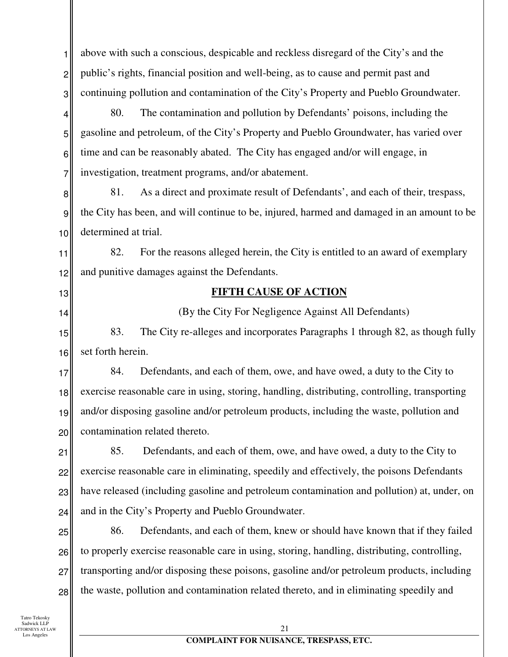1 2 3 4 5 6 above with such a conscious, despicable and reckless disregard of the City's and the public's rights, financial position and well-being, as to cause and permit past and continuing pollution and contamination of the City's Property and Pueblo Groundwater. 80. The contamination and pollution by Defendants' poisons, including the gasoline and petroleum, of the City's Property and Pueblo Groundwater, has varied over time and can be reasonably abated. The City has engaged and/or will engage, in

7 investigation, treatment programs, and/or abatement.

8 9 10 81. As a direct and proximate result of Defendants', and each of their, trespass, the City has been, and will continue to be, injured, harmed and damaged in an amount to be determined at trial.

11 12 82. For the reasons alleged herein, the City is entitled to an award of exemplary and punitive damages against the Defendants.

13

14

**FIFTH CAUSE OF ACTION**

(By the City For Negligence Against All Defendants)

15 16 83. The City re-alleges and incorporates Paragraphs 1 through 82, as though fully set forth herein.

17 18 19 20 84. Defendants, and each of them, owe, and have owed, a duty to the City to exercise reasonable care in using, storing, handling, distributing, controlling, transporting and/or disposing gasoline and/or petroleum products, including the waste, pollution and contamination related thereto.

21 22 23 24 85. Defendants, and each of them, owe, and have owed, a duty to the City to exercise reasonable care in eliminating, speedily and effectively, the poisons Defendants have released (including gasoline and petroleum contamination and pollution) at, under, on and in the City's Property and Pueblo Groundwater.

25 26 27 28 86. Defendants, and each of them, knew or should have known that if they failed to properly exercise reasonable care in using, storing, handling, distributing, controlling, transporting and/or disposing these poisons, gasoline and/or petroleum products, including the waste, pollution and contamination related thereto, and in eliminating speedily and

Tatro Tekosky Sadwick LLP TTORNEYS AT LAW Los Angeles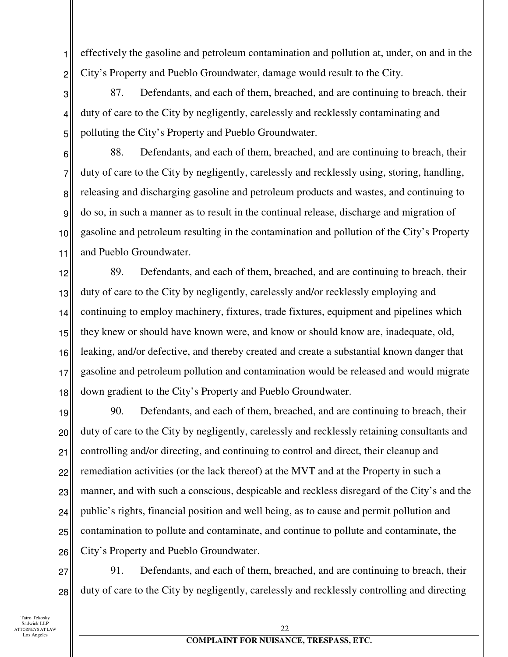2 effectively the gasoline and petroleum contamination and pollution at, under, on and in the City's Property and Pueblo Groundwater, damage would result to the City.

3 4 5 87. Defendants, and each of them, breached, and are continuing to breach, their duty of care to the City by negligently, carelessly and recklessly contaminating and polluting the City's Property and Pueblo Groundwater.

6 7 8 9 10 11 88. Defendants, and each of them, breached, and are continuing to breach, their duty of care to the City by negligently, carelessly and recklessly using, storing, handling, releasing and discharging gasoline and petroleum products and wastes, and continuing to do so, in such a manner as to result in the continual release, discharge and migration of gasoline and petroleum resulting in the contamination and pollution of the City's Property and Pueblo Groundwater.

12 13 14 15 16 17 18 89. Defendants, and each of them, breached, and are continuing to breach, their duty of care to the City by negligently, carelessly and/or recklessly employing and continuing to employ machinery, fixtures, trade fixtures, equipment and pipelines which they knew or should have known were, and know or should know are, inadequate, old, leaking, and/or defective, and thereby created and create a substantial known danger that gasoline and petroleum pollution and contamination would be released and would migrate down gradient to the City's Property and Pueblo Groundwater.

19 20 21 22 23 24 25 26 90. Defendants, and each of them, breached, and are continuing to breach, their duty of care to the City by negligently, carelessly and recklessly retaining consultants and controlling and/or directing, and continuing to control and direct, their cleanup and remediation activities (or the lack thereof) at the MVT and at the Property in such a manner, and with such a conscious, despicable and reckless disregard of the City's and the public's rights, financial position and well being, as to cause and permit pollution and contamination to pollute and contaminate, and continue to pollute and contaminate, the City's Property and Pueblo Groundwater.

27 28 91. Defendants, and each of them, breached, and are continuing to breach, their duty of care to the City by negligently, carelessly and recklessly controlling and directing

Tatro Tekosky Sadwick LLP ATTORNEYS AT LAW Los Angeles

1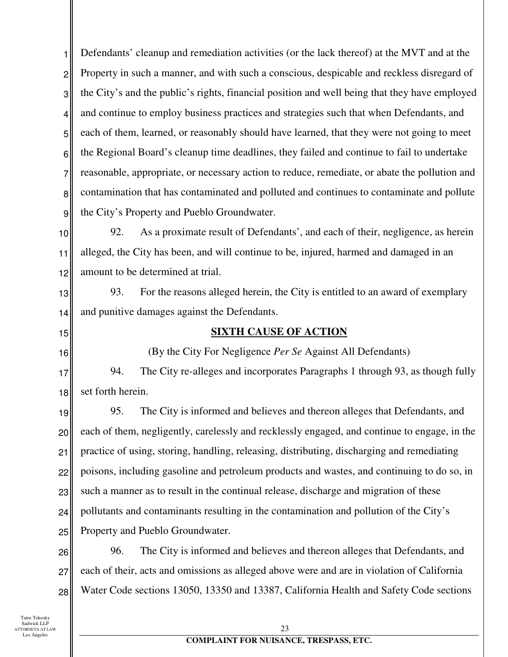1 2 3 4 5 6 7 8 9 Defendants' cleanup and remediation activities (or the lack thereof) at the MVT and at the Property in such a manner, and with such a conscious, despicable and reckless disregard of the City's and the public's rights, financial position and well being that they have employed and continue to employ business practices and strategies such that when Defendants, and each of them, learned, or reasonably should have learned, that they were not going to meet the Regional Board's cleanup time deadlines, they failed and continue to fail to undertake reasonable, appropriate, or necessary action to reduce, remediate, or abate the pollution and contamination that has contaminated and polluted and continues to contaminate and pollute the City's Property and Pueblo Groundwater.

10 11 12 92. As a proximate result of Defendants', and each of their, negligence, as herein alleged, the City has been, and will continue to be, injured, harmed and damaged in an amount to be determined at trial.

13 14 93. For the reasons alleged herein, the City is entitled to an award of exemplary and punitive damages against the Defendants.

## **SIXTH CAUSE OF ACTION**

(By the City For Negligence *Per Se* Against All Defendants)

18 94. The City re-alleges and incorporates Paragraphs 1 through 93, as though fully set forth herein.

19 20 21 22 23 24 25 95. The City is informed and believes and thereon alleges that Defendants, and each of them, negligently, carelessly and recklessly engaged, and continue to engage, in the practice of using, storing, handling, releasing, distributing, discharging and remediating poisons, including gasoline and petroleum products and wastes, and continuing to do so, in such a manner as to result in the continual release, discharge and migration of these pollutants and contaminants resulting in the contamination and pollution of the City's Property and Pueblo Groundwater.

26 27 28 96. The City is informed and believes and thereon alleges that Defendants, and each of their, acts and omissions as alleged above were and are in violation of California Water Code sections 13050, 13350 and 13387, California Health and Safety Code sections

Tatro Tekosky Sadwick LLP TTORNEYS AT LAW Los Angeles

15

16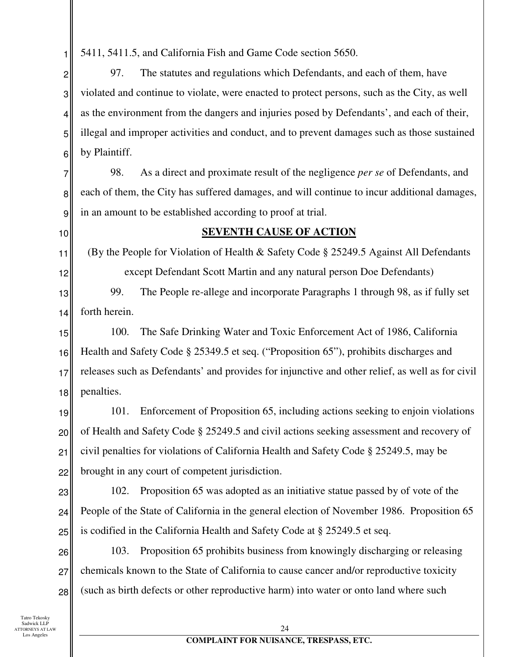5411, 5411.5, and California Fish and Game Code section 5650.

2 3 4 5 6 97. The statutes and regulations which Defendants, and each of them, have violated and continue to violate, were enacted to protect persons, such as the City, as well as the environment from the dangers and injuries posed by Defendants', and each of their, illegal and improper activities and conduct, and to prevent damages such as those sustained by Plaintiff.

7 8 9 98. As a direct and proximate result of the negligence *per se* of Defendants, and each of them, the City has suffered damages, and will continue to incur additional damages, in an amount to be established according to proof at trial.

10

1

## **SEVENTH CAUSE OF ACTION**

11 12 (By the People for Violation of Health & Safety Code § 25249.5 Against All Defendants except Defendant Scott Martin and any natural person Doe Defendants)

13 14 99. The People re-allege and incorporate Paragraphs 1 through 98, as if fully set forth herein.

15 16 17 18 100. The Safe Drinking Water and Toxic Enforcement Act of 1986, California Health and Safety Code § 25349.5 et seq. ("Proposition 65"), prohibits discharges and releases such as Defendants' and provides for injunctive and other relief, as well as for civil penalties.

19 20 21 22 101. Enforcement of Proposition 65, including actions seeking to enjoin violations of Health and Safety Code § 25249.5 and civil actions seeking assessment and recovery of civil penalties for violations of California Health and Safety Code § 25249.5, may be brought in any court of competent jurisdiction.

23 24 25 102. Proposition 65 was adopted as an initiative statue passed by of vote of the People of the State of California in the general election of November 1986. Proposition 65 is codified in the California Health and Safety Code at § 25249.5 et seq.

26 27 28 103. Proposition 65 prohibits business from knowingly discharging or releasing chemicals known to the State of California to cause cancer and/or reproductive toxicity (such as birth defects or other reproductive harm) into water or onto land where such

Tatro Tekosky Sadwick LLP TTORNEYS AT LAW Los Angeles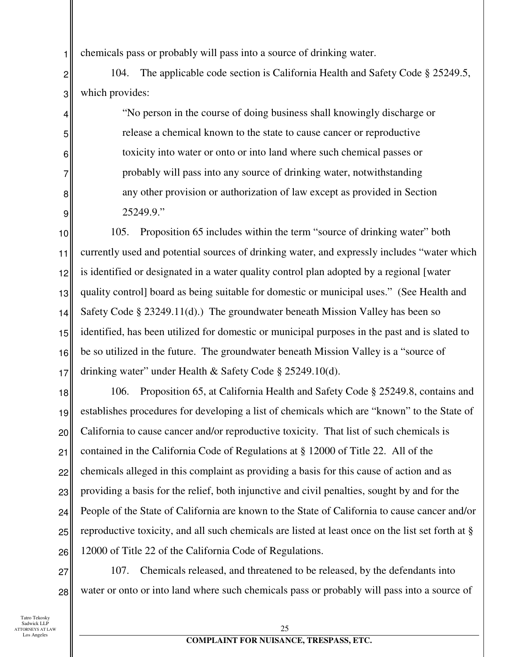chemicals pass or probably will pass into a source of drinking water.

2 3 104. The applicable code section is California Health and Safety Code § 25249.5, which provides:

> "No person in the course of doing business shall knowingly discharge or release a chemical known to the state to cause cancer or reproductive toxicity into water or onto or into land where such chemical passes or probably will pass into any source of drinking water, notwithstanding any other provision or authorization of law except as provided in Section 25249.9."

10 11 12 13 14 15 16 17 105. Proposition 65 includes within the term "source of drinking water" both currently used and potential sources of drinking water, and expressly includes "water which is identified or designated in a water quality control plan adopted by a regional [water quality control] board as being suitable for domestic or municipal uses." (See Health and Safety Code § 23249.11(d).) The groundwater beneath Mission Valley has been so identified, has been utilized for domestic or municipal purposes in the past and is slated to be so utilized in the future. The groundwater beneath Mission Valley is a "source of drinking water" under Health & Safety Code § 25249.10(d).

18 19 20 21 22 23 24 25 26 106. Proposition 65, at California Health and Safety Code § 25249.8, contains and establishes procedures for developing a list of chemicals which are "known" to the State of California to cause cancer and/or reproductive toxicity. That list of such chemicals is contained in the California Code of Regulations at § 12000 of Title 22. All of the chemicals alleged in this complaint as providing a basis for this cause of action and as providing a basis for the relief, both injunctive and civil penalties, sought by and for the People of the State of California are known to the State of California to cause cancer and/or reproductive toxicity, and all such chemicals are listed at least once on the list set forth at § 12000 of Title 22 of the California Code of Regulations.

27 28 107. Chemicals released, and threatened to be released, by the defendants into water or onto or into land where such chemicals pass or probably will pass into a source of

Tatro Tekosky Sadwick LLP **TTORNEYS AT LAW** Los Angeles

1

4

5

6

7

8

9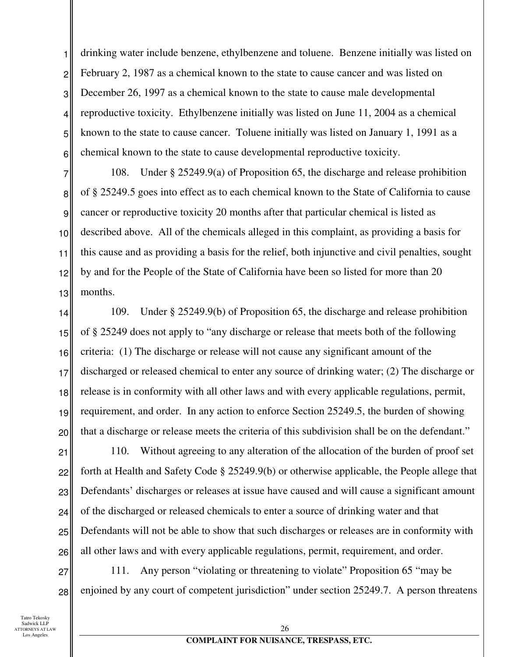1 2 3 4 5 6 drinking water include benzene, ethylbenzene and toluene. Benzene initially was listed on February 2, 1987 as a chemical known to the state to cause cancer and was listed on December 26, 1997 as a chemical known to the state to cause male developmental reproductive toxicity. Ethylbenzene initially was listed on June 11, 2004 as a chemical known to the state to cause cancer. Toluene initially was listed on January 1, 1991 as a chemical known to the state to cause developmental reproductive toxicity.

7 8 9 10 11 12 13 108. Under § 25249.9(a) of Proposition 65, the discharge and release prohibition of § 25249.5 goes into effect as to each chemical known to the State of California to cause cancer or reproductive toxicity 20 months after that particular chemical is listed as described above. All of the chemicals alleged in this complaint, as providing a basis for this cause and as providing a basis for the relief, both injunctive and civil penalties, sought by and for the People of the State of California have been so listed for more than 20 months.

14 15 16 17 18 19 20 109. Under § 25249.9(b) of Proposition 65, the discharge and release prohibition of § 25249 does not apply to "any discharge or release that meets both of the following criteria: (1) The discharge or release will not cause any significant amount of the discharged or released chemical to enter any source of drinking water; (2) The discharge or release is in conformity with all other laws and with every applicable regulations, permit, requirement, and order. In any action to enforce Section 25249.5, the burden of showing that a discharge or release meets the criteria of this subdivision shall be on the defendant."

21 22 23 24 25 26 110. Without agreeing to any alteration of the allocation of the burden of proof set forth at Health and Safety Code § 25249.9(b) or otherwise applicable, the People allege that Defendants' discharges or releases at issue have caused and will cause a significant amount of the discharged or released chemicals to enter a source of drinking water and that Defendants will not be able to show that such discharges or releases are in conformity with all other laws and with every applicable regulations, permit, requirement, and order.

27 28 111. Any person "violating or threatening to violate" Proposition 65 "may be enjoined by any court of competent jurisdiction" under section 25249.7. A person threatens

Tatro Tekosky Sadwick LLP TTORNEYS AT LAW Los Angeles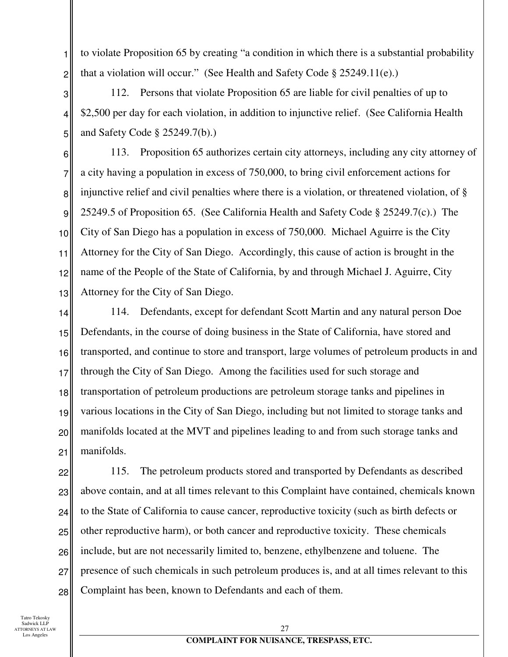to violate Proposition 65 by creating "a condition in which there is a substantial probability that a violation will occur." (See Health and Safety Code § 25249.11(e).)

3 4 5 112. Persons that violate Proposition 65 are liable for civil penalties of up to \$2,500 per day for each violation, in addition to injunctive relief. (See California Health and Safety Code § 25249.7(b).)

6 7 8 9 10 11 12 13 113. Proposition 65 authorizes certain city attorneys, including any city attorney of a city having a population in excess of 750,000, to bring civil enforcement actions for injunctive relief and civil penalties where there is a violation, or threatened violation, of § 25249.5 of Proposition 65. (See California Health and Safety Code § 25249.7(c).) The City of San Diego has a population in excess of 750,000. Michael Aguirre is the City Attorney for the City of San Diego. Accordingly, this cause of action is brought in the name of the People of the State of California, by and through Michael J. Aguirre, City Attorney for the City of San Diego.

14 15 16 17 18 19 20 21 114. Defendants, except for defendant Scott Martin and any natural person Doe Defendants, in the course of doing business in the State of California, have stored and transported, and continue to store and transport, large volumes of petroleum products in and through the City of San Diego. Among the facilities used for such storage and transportation of petroleum productions are petroleum storage tanks and pipelines in various locations in the City of San Diego, including but not limited to storage tanks and manifolds located at the MVT and pipelines leading to and from such storage tanks and manifolds.

22 23 24 25 26 27 28 115. The petroleum products stored and transported by Defendants as described above contain, and at all times relevant to this Complaint have contained, chemicals known to the State of California to cause cancer, reproductive toxicity (such as birth defects or other reproductive harm), or both cancer and reproductive toxicity. These chemicals include, but are not necessarily limited to, benzene, ethylbenzene and toluene. The presence of such chemicals in such petroleum produces is, and at all times relevant to this Complaint has been, known to Defendants and each of them.

Tatro Tekosky Sadwick LLP ATTORNEYS AT LAW Los Angeles

1

2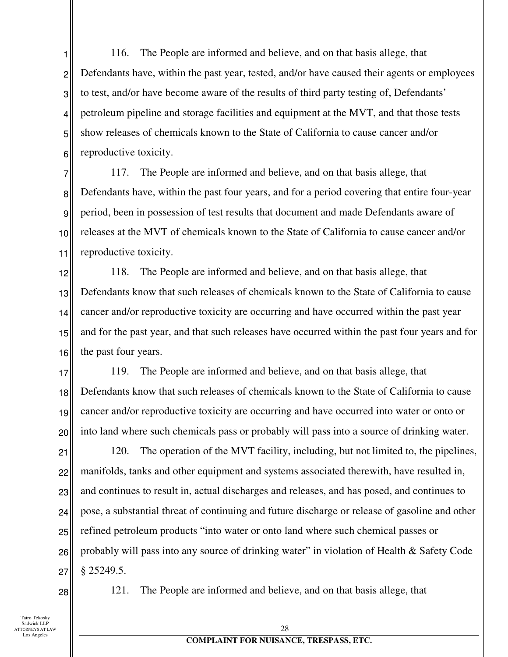1 2 3 4 5 6 116. The People are informed and believe, and on that basis allege, that Defendants have, within the past year, tested, and/or have caused their agents or employees to test, and/or have become aware of the results of third party testing of, Defendants' petroleum pipeline and storage facilities and equipment at the MVT, and that those tests show releases of chemicals known to the State of California to cause cancer and/or reproductive toxicity.

7 8 9 10 11 117. The People are informed and believe, and on that basis allege, that Defendants have, within the past four years, and for a period covering that entire four-year period, been in possession of test results that document and made Defendants aware of releases at the MVT of chemicals known to the State of California to cause cancer and/or reproductive toxicity.

12 13 14 15 16 118. The People are informed and believe, and on that basis allege, that Defendants know that such releases of chemicals known to the State of California to cause cancer and/or reproductive toxicity are occurring and have occurred within the past year and for the past year, and that such releases have occurred within the past four years and for the past four years.

17 18 19 20 119. The People are informed and believe, and on that basis allege, that Defendants know that such releases of chemicals known to the State of California to cause cancer and/or reproductive toxicity are occurring and have occurred into water or onto or into land where such chemicals pass or probably will pass into a source of drinking water.

21 22 23 24 25 26 27 120. The operation of the MVT facility, including, but not limited to, the pipelines, manifolds, tanks and other equipment and systems associated therewith, have resulted in, and continues to result in, actual discharges and releases, and has posed, and continues to pose, a substantial threat of continuing and future discharge or release of gasoline and other refined petroleum products "into water or onto land where such chemical passes or probably will pass into any source of drinking water" in violation of Health & Safety Code § 25249.5.

28

121. The People are informed and believe, and on that basis allege, that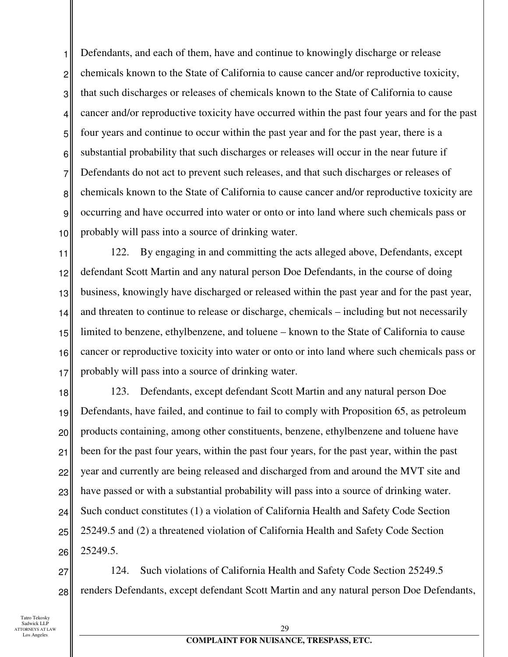1 2 3 4 5 6 7 8 9 10 Defendants, and each of them, have and continue to knowingly discharge or release chemicals known to the State of California to cause cancer and/or reproductive toxicity, that such discharges or releases of chemicals known to the State of California to cause cancer and/or reproductive toxicity have occurred within the past four years and for the past four years and continue to occur within the past year and for the past year, there is a substantial probability that such discharges or releases will occur in the near future if Defendants do not act to prevent such releases, and that such discharges or releases of chemicals known to the State of California to cause cancer and/or reproductive toxicity are occurring and have occurred into water or onto or into land where such chemicals pass or probably will pass into a source of drinking water.

11 12 13 14 15 16 17 122. By engaging in and committing the acts alleged above, Defendants, except defendant Scott Martin and any natural person Doe Defendants, in the course of doing business, knowingly have discharged or released within the past year and for the past year, and threaten to continue to release or discharge, chemicals – including but not necessarily limited to benzene, ethylbenzene, and toluene – known to the State of California to cause cancer or reproductive toxicity into water or onto or into land where such chemicals pass or probably will pass into a source of drinking water.

18 19 20 21 22 23 24 25 26 123. Defendants, except defendant Scott Martin and any natural person Doe Defendants, have failed, and continue to fail to comply with Proposition 65, as petroleum products containing, among other constituents, benzene, ethylbenzene and toluene have been for the past four years, within the past four years, for the past year, within the past year and currently are being released and discharged from and around the MVT site and have passed or with a substantial probability will pass into a source of drinking water. Such conduct constitutes (1) a violation of California Health and Safety Code Section 25249.5 and (2) a threatened violation of California Health and Safety Code Section 25249.5.

27 28 124. Such violations of California Health and Safety Code Section 25249.5 renders Defendants, except defendant Scott Martin and any natural person Doe Defendants,

Tatro Tekosky Sadwick LLP ATTORNEYS AT LAW Los Angeles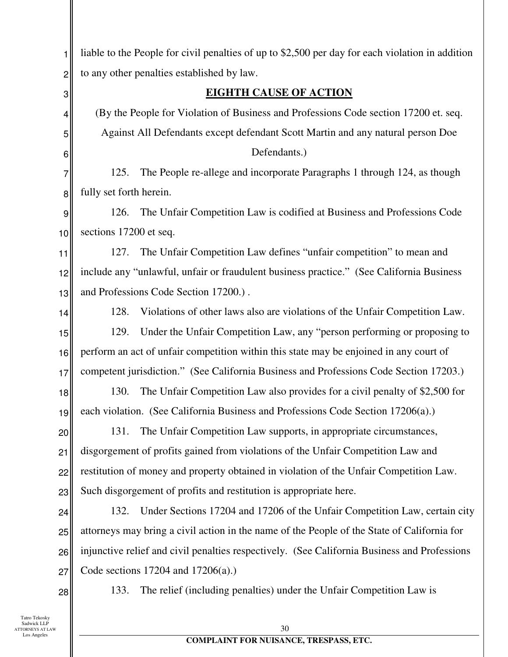2 liable to the People for civil penalties of up to \$2,500 per day for each violation in addition to any other penalties established by law.

## **EIGHTH CAUSE OF ACTION**

(By the People for Violation of Business and Professions Code section 17200 et. seq.

Against All Defendants except defendant Scott Martin and any natural person Doe

Defendants.)

7 8 125. The People re-allege and incorporate Paragraphs 1 through 124, as though fully set forth herein.

9 10 126. The Unfair Competition Law is codified at Business and Professions Code sections 17200 et seq.

11 12 13 127. The Unfair Competition Law defines "unfair competition" to mean and include any "unlawful, unfair or fraudulent business practice." (See California Business and Professions Code Section 17200.) .

14

1

3

4

5

6

128. Violations of other laws also are violations of the Unfair Competition Law.

15 16 17 129. Under the Unfair Competition Law, any "person performing or proposing to perform an act of unfair competition within this state may be enjoined in any court of competent jurisdiction." (See California Business and Professions Code Section 17203.)

18 19 130. The Unfair Competition Law also provides for a civil penalty of \$2,500 for each violation. (See California Business and Professions Code Section 17206(a).)

20 21 22 23 131. The Unfair Competition Law supports, in appropriate circumstances, disgorgement of profits gained from violations of the Unfair Competition Law and restitution of money and property obtained in violation of the Unfair Competition Law. Such disgorgement of profits and restitution is appropriate here.

24 25 26 27 132. Under Sections 17204 and 17206 of the Unfair Competition Law, certain city attorneys may bring a civil action in the name of the People of the State of California for injunctive relief and civil penalties respectively. (See California Business and Professions Code sections 17204 and 17206(a).)

28

133. The relief (including penalties) under the Unfair Competition Law is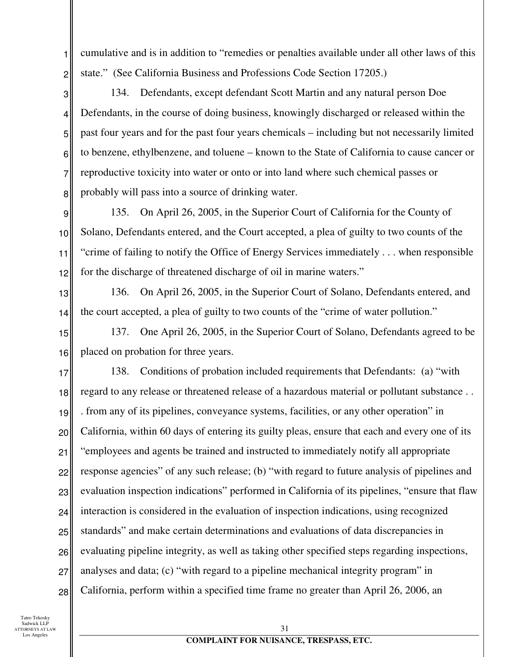cumulative and is in addition to "remedies or penalties available under all other laws of this state." (See California Business and Professions Code Section 17205.)

3 4 5 6 7 8 134. Defendants, except defendant Scott Martin and any natural person Doe Defendants, in the course of doing business, knowingly discharged or released within the past four years and for the past four years chemicals – including but not necessarily limited to benzene, ethylbenzene, and toluene – known to the State of California to cause cancer or reproductive toxicity into water or onto or into land where such chemical passes or probably will pass into a source of drinking water.

9 10 11 12 135. On April 26, 2005, in the Superior Court of California for the County of Solano, Defendants entered, and the Court accepted, a plea of guilty to two counts of the "crime of failing to notify the Office of Energy Services immediately . . . when responsible for the discharge of threatened discharge of oil in marine waters."

13

14

1

2

136. On April 26, 2005, in the Superior Court of Solano, Defendants entered, and the court accepted, a plea of guilty to two counts of the "crime of water pollution."

15 16 137. One April 26, 2005, in the Superior Court of Solano, Defendants agreed to be placed on probation for three years.

17 18 19 20 21 22 23 24 25 26 27 28 138. Conditions of probation included requirements that Defendants: (a) "with regard to any release or threatened release of a hazardous material or pollutant substance . . . from any of its pipelines, conveyance systems, facilities, or any other operation" in California, within 60 days of entering its guilty pleas, ensure that each and every one of its "employees and agents be trained and instructed to immediately notify all appropriate response agencies" of any such release; (b) "with regard to future analysis of pipelines and evaluation inspection indications" performed in California of its pipelines, "ensure that flaw interaction is considered in the evaluation of inspection indications, using recognized standards" and make certain determinations and evaluations of data discrepancies in evaluating pipeline integrity, as well as taking other specified steps regarding inspections, analyses and data; (c) "with regard to a pipeline mechanical integrity program" in California, perform within a specified time frame no greater than April 26, 2006, an

Tatro Tekosky Sadwick LLP TTORNEYS AT LAW Los Angeles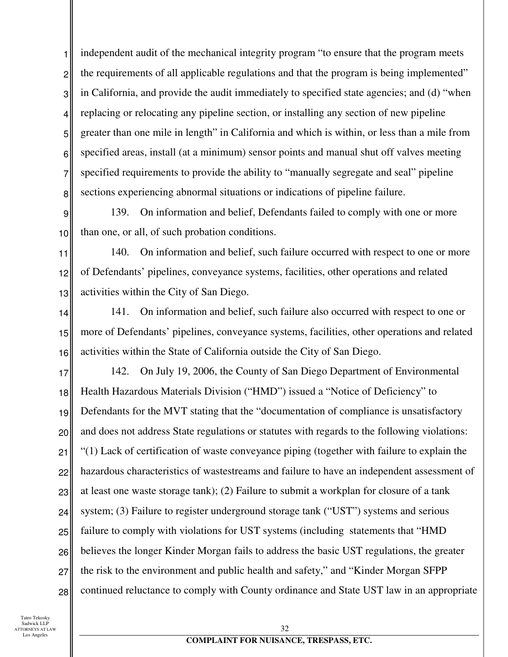1 2 3 4 5 6 7 8 independent audit of the mechanical integrity program "to ensure that the program meets the requirements of all applicable regulations and that the program is being implemented" in California, and provide the audit immediately to specified state agencies; and (d) "when replacing or relocating any pipeline section, or installing any section of new pipeline greater than one mile in length" in California and which is within, or less than a mile from specified areas, install (at a minimum) sensor points and manual shut off valves meeting specified requirements to provide the ability to "manually segregate and seal" pipeline sections experiencing abnormal situations or indications of pipeline failure.

9 10 139. On information and belief, Defendants failed to comply with one or more than one, or all, of such probation conditions.

11 12 13 140. On information and belief, such failure occurred with respect to one or more of Defendants' pipelines, conveyance systems, facilities, other operations and related activities within the City of San Diego.

14 15 16 141. On information and belief, such failure also occurred with respect to one or more of Defendants' pipelines, conveyance systems, facilities, other operations and related activities within the State of California outside the City of San Diego.

17 18 19 20 21 22 23 24 25 26 27 28 142. On July 19, 2006, the County of San Diego Department of Environmental Health Hazardous Materials Division ("HMD") issued a "Notice of Deficiency" to Defendants for the MVT stating that the "documentation of compliance is unsatisfactory and does not address State regulations or statutes with regards to the following violations: "(1) Lack of certification of waste conveyance piping (together with failure to explain the hazardous characteristics of wastestreams and failure to have an independent assessment of at least one waste storage tank); (2) Failure to submit a workplan for closure of a tank system; (3) Failure to register underground storage tank ("UST") systems and serious failure to comply with violations for UST systems (including statements that "HMD believes the longer Kinder Morgan fails to address the basic UST regulations, the greater the risk to the environment and public health and safety," and "Kinder Morgan SFPP continued reluctance to comply with County ordinance and State UST law in an appropriate

Tatro Tekosky Sadwick LLP ATTORNEYS AT LAW Los Angeles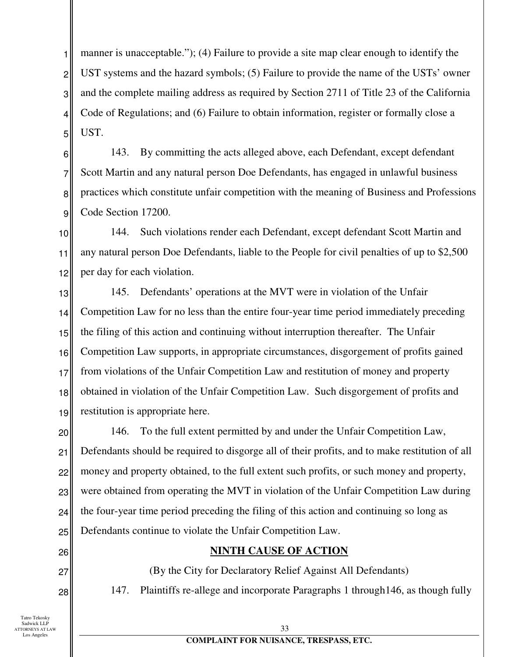1 2 3 4 5 manner is unacceptable."); (4) Failure to provide a site map clear enough to identify the UST systems and the hazard symbols; (5) Failure to provide the name of the USTs' owner and the complete mailing address as required by Section 2711 of Title 23 of the California Code of Regulations; and (6) Failure to obtain information, register or formally close a UST.

6 7 8 9 143. By committing the acts alleged above, each Defendant, except defendant Scott Martin and any natural person Doe Defendants, has engaged in unlawful business practices which constitute unfair competition with the meaning of Business and Professions Code Section 17200.

10 11 12 144. Such violations render each Defendant, except defendant Scott Martin and any natural person Doe Defendants, liable to the People for civil penalties of up to \$2,500 per day for each violation.

13 14 15 16 17 18 19 145. Defendants' operations at the MVT were in violation of the Unfair Competition Law for no less than the entire four-year time period immediately preceding the filing of this action and continuing without interruption thereafter. The Unfair Competition Law supports, in appropriate circumstances, disgorgement of profits gained from violations of the Unfair Competition Law and restitution of money and property obtained in violation of the Unfair Competition Law. Such disgorgement of profits and restitution is appropriate here.

20 21 22 23 24 25 146. To the full extent permitted by and under the Unfair Competition Law, Defendants should be required to disgorge all of their profits, and to make restitution of all money and property obtained, to the full extent such profits, or such money and property, were obtained from operating the MVT in violation of the Unfair Competition Law during the four-year time period preceding the filing of this action and continuing so long as Defendants continue to violate the Unfair Competition Law.

## **NINTH CAUSE OF ACTION**

(By the City for Declaratory Relief Against All Defendants) 147. Plaintiffs re-allege and incorporate Paragraphs 1 through146, as though fully

Tatro Tekosky Sadwick LLP TTORNEYS AT LAW Los Angeles

26

27

28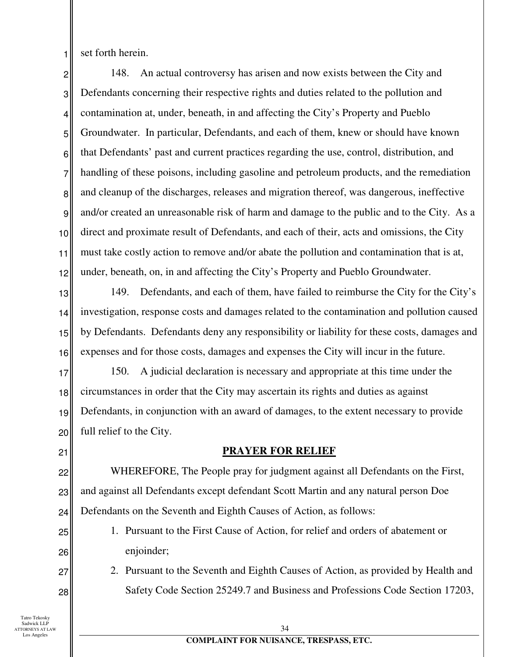set forth herein.

1

2 3 4 5 6 7 8 9 10 11 12 148. An actual controversy has arisen and now exists between the City and Defendants concerning their respective rights and duties related to the pollution and contamination at, under, beneath, in and affecting the City's Property and Pueblo Groundwater. In particular, Defendants, and each of them, knew or should have known that Defendants' past and current practices regarding the use, control, distribution, and handling of these poisons, including gasoline and petroleum products, and the remediation and cleanup of the discharges, releases and migration thereof, was dangerous, ineffective and/or created an unreasonable risk of harm and damage to the public and to the City. As a direct and proximate result of Defendants, and each of their, acts and omissions, the City must take costly action to remove and/or abate the pollution and contamination that is at, under, beneath, on, in and affecting the City's Property and Pueblo Groundwater.

13 14 15 16 149. Defendants, and each of them, have failed to reimburse the City for the City's investigation, response costs and damages related to the contamination and pollution caused by Defendants. Defendants deny any responsibility or liability for these costs, damages and expenses and for those costs, damages and expenses the City will incur in the future.

17 18 19 20 150. A judicial declaration is necessary and appropriate at this time under the circumstances in order that the City may ascertain its rights and duties as against Defendants, in conjunction with an award of damages, to the extent necessary to provide full relief to the City.

### **PRAYER FOR RELIEF**

22 23 24 WHEREFORE, The People pray for judgment against all Defendants on the First, and against all Defendants except defendant Scott Martin and any natural person Doe Defendants on the Seventh and Eighth Causes of Action, as follows:

1. Pursuant to the First Cause of Action, for relief and orders of abatement or enjoinder;

2. Pursuant to the Seventh and Eighth Causes of Action, as provided by Health and Safety Code Section 25249.7 and Business and Professions Code Section 17203,

Tatro Tekosky Sadwick LLP ATTORNEYS AT LAW Los Angeles

21

25

26

27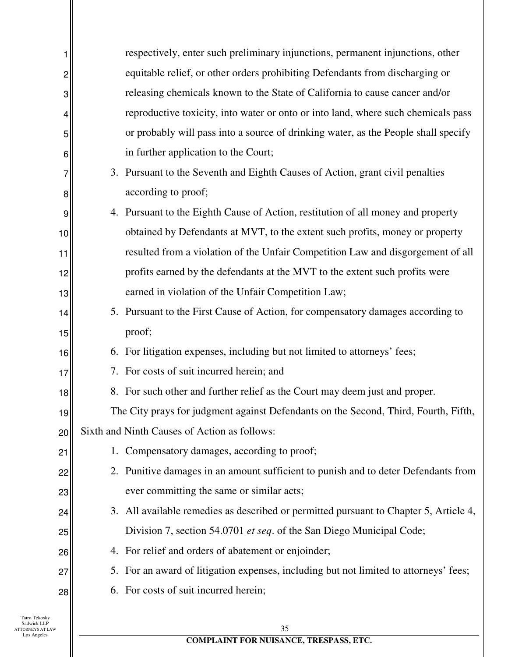| 1                                                   | respectively, enter such preliminary injunctions, permanent injunctions, other        |  |
|-----------------------------------------------------|---------------------------------------------------------------------------------------|--|
| 2                                                   | equitable relief, or other orders prohibiting Defendants from discharging or          |  |
| 3                                                   | releasing chemicals known to the State of California to cause cancer and/or           |  |
| 4                                                   | reproductive toxicity, into water or onto or into land, where such chemicals pass     |  |
| 5                                                   | or probably will pass into a source of drinking water, as the People shall specify    |  |
| 6                                                   | in further application to the Court;                                                  |  |
| 7                                                   | 3. Pursuant to the Seventh and Eighth Causes of Action, grant civil penalties         |  |
| 8                                                   | according to proof;                                                                   |  |
| 9                                                   | 4. Pursuant to the Eighth Cause of Action, restitution of all money and property      |  |
| 10                                                  | obtained by Defendants at MVT, to the extent such profits, money or property          |  |
| 11                                                  | resulted from a violation of the Unfair Competition Law and disgorgement of all       |  |
| 12                                                  | profits earned by the defendants at the MVT to the extent such profits were           |  |
| 13                                                  | earned in violation of the Unfair Competition Law;                                    |  |
| 14                                                  | 5. Pursuant to the First Cause of Action, for compensatory damages according to       |  |
| 15                                                  | proof;                                                                                |  |
| 16                                                  | 6. For litigation expenses, including but not limited to attorneys' fees;             |  |
| 17                                                  | 7. For costs of suit incurred herein; and                                             |  |
| 18                                                  | 8. For such other and further relief as the Court may deem just and proper.           |  |
| 19                                                  | The City prays for judgment against Defendants on the Second, Third, Fourth, Fifth,   |  |
| 20                                                  | Sixth and Ninth Causes of Action as follows:                                          |  |
| 21                                                  | 1. Compensatory damages, according to proof;                                          |  |
| 22                                                  | 2. Punitive damages in an amount sufficient to punish and to deter Defendants from    |  |
| 23                                                  | ever committing the same or similar acts;                                             |  |
| 24                                                  | 3. All available remedies as described or permitted pursuant to Chapter 5, Article 4, |  |
| 25                                                  | Division 7, section 54.0701 et seq. of the San Diego Municipal Code;                  |  |
| 26                                                  | 4. For relief and orders of abatement or enjoinder;                                   |  |
| 27                                                  | 5. For an award of litigation expenses, including but not limited to attorneys' fees; |  |
| 28                                                  | 6. For costs of suit incurred herein;                                                 |  |
| Tatro Tekosky                                       |                                                                                       |  |
| <b>Sadwick LLP</b><br>TORNEYS AT LAW<br>Los Angeles | 35<br>COMPLAINT FOR NHISANCE TRESPASS ETC.                                            |  |
|                                                     |                                                                                       |  |

**COMPLAINT FOR NUISANCE, TRESPASS, ETC.**

I